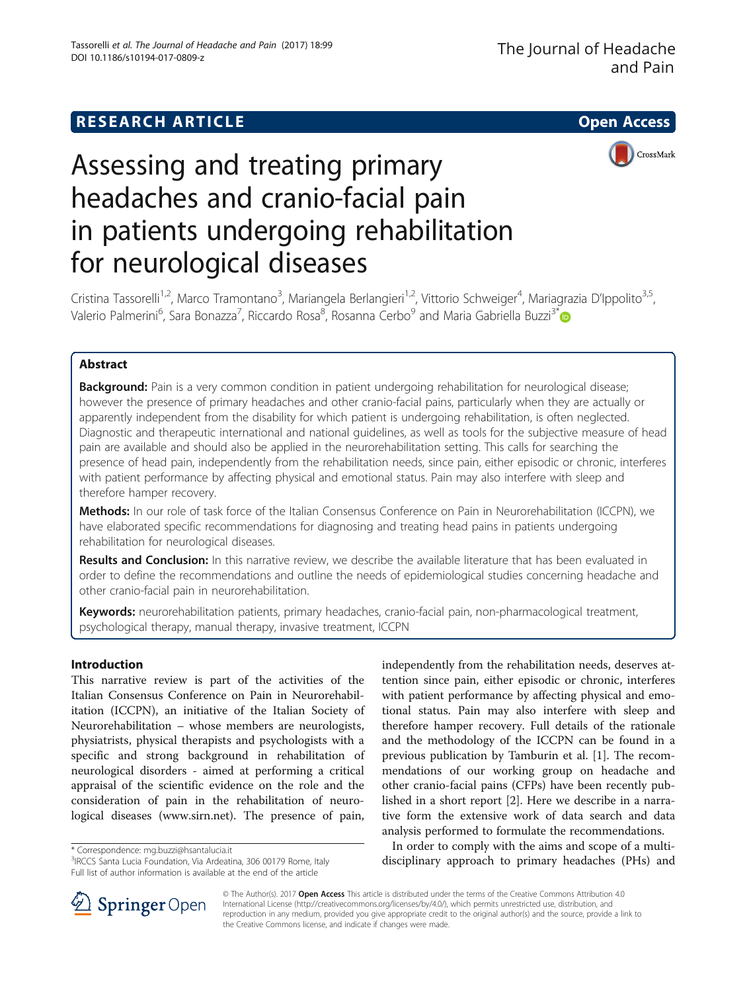## **RESEARCH ARTICLE Example 2014 12:30 The SEAR CH ACCESS**





# Assessing and treating primary headaches and cranio-facial pain in patients undergoing rehabilitation for neurological diseases

Cristina Tassorelli<sup>1,2</sup>, Marco Tramontano<sup>3</sup>, Mariangela Berlangieri<sup>1,2</sup>, Vittorio Schweiger<sup>4</sup>, Mariagrazia D'Ippolito<sup>3,5</sup>, Valerio Palmerini<sup>6</sup>, Sara Bonazza<sup>7</sup>, Riccardo Rosa<sup>8</sup>, Rosanna Cerbo<sup>9</sup> and Maria Gabriella Buzzi<sup>3[\\*](http://orcid.org/0000-0003-1307-8707)</sup>

## Abstract

**Background:** Pain is a very common condition in patient undergoing rehabilitation for neurological disease; however the presence of primary headaches and other cranio-facial pains, particularly when they are actually or apparently independent from the disability for which patient is undergoing rehabilitation, is often neglected. Diagnostic and therapeutic international and national guidelines, as well as tools for the subjective measure of head pain are available and should also be applied in the neurorehabilitation setting. This calls for searching the presence of head pain, independently from the rehabilitation needs, since pain, either episodic or chronic, interferes with patient performance by affecting physical and emotional status. Pain may also interfere with sleep and therefore hamper recovery.

Methods: In our role of task force of the Italian Consensus Conference on Pain in Neurorehabilitation (ICCPN), we have elaborated specific recommendations for diagnosing and treating head pains in patients undergoing rehabilitation for neurological diseases.

Results and Conclusion: In this narrative review, we describe the available literature that has been evaluated in order to define the recommendations and outline the needs of epidemiological studies concerning headache and other cranio-facial pain in neurorehabilitation.

Keywords: neurorehabilitation patients, primary headaches, cranio-facial pain, non-pharmacological treatment, psychological therapy, manual therapy, invasive treatment, ICCPN

## Introduction

This narrative review is part of the activities of the Italian Consensus Conference on Pain in Neurorehabilitation (ICCPN), an initiative of the Italian Society of Neurorehabilitation – whose members are neurologists, physiatrists, physical therapists and psychologists with a specific and strong background in rehabilitation of neurological disorders - aimed at performing a critical appraisal of the scientific evidence on the role and the consideration of pain in the rehabilitation of neurological diseases ([www.sirn.net](http://www.sirn.net/)). The presence of pain,

\* Correspondence: [mg.buzzi@hsantalucia.it](mailto:mg.buzzi@hsantalucia.it) <sup>3</sup>

<sup>3</sup>IRCCS Santa Lucia Foundation, Via Ardeatina, 306 00179 Rome, Italy Full list of author information is available at the end of the article

independently from the rehabilitation needs, deserves attention since pain, either episodic or chronic, interferes with patient performance by affecting physical and emotional status. Pain may also interfere with sleep and therefore hamper recovery. Full details of the rationale and the methodology of the ICCPN can be found in a previous publication by Tamburin et al. [[1\]](#page-13-0). The recommendations of our working group on headache and other cranio-facial pains (CFPs) have been recently published in a short report [[2\]](#page-13-0). Here we describe in a narrative form the extensive work of data search and data analysis performed to formulate the recommendations.

In order to comply with the aims and scope of a multidisciplinary approach to primary headaches (PHs) and



© The Author(s). 2017 **Open Access** This article is distributed under the terms of the Creative Commons Attribution 4.0 International License ([http://creativecommons.org/licenses/by/4.0/\)](http://creativecommons.org/licenses/by/4.0/), which permits unrestricted use, distribution, and reproduction in any medium, provided you give appropriate credit to the original author(s) and the source, provide a link to the Creative Commons license, and indicate if changes were made.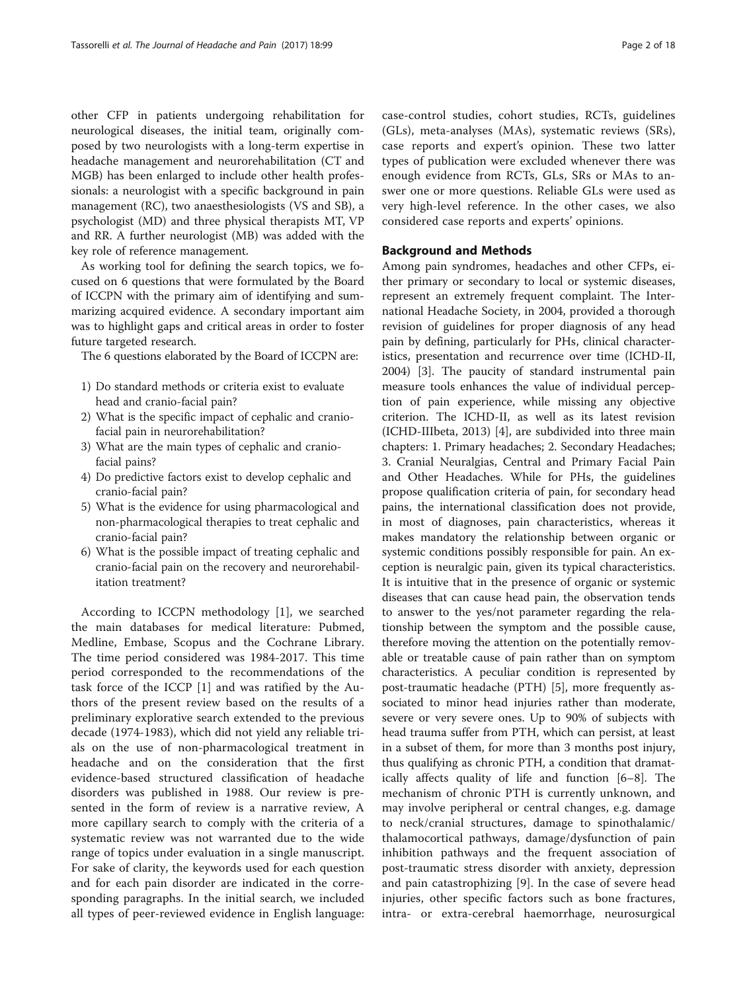other CFP in patients undergoing rehabilitation for neurological diseases, the initial team, originally composed by two neurologists with a long-term expertise in headache management and neurorehabilitation (CT and MGB) has been enlarged to include other health professionals: a neurologist with a specific background in pain management (RC), two anaesthesiologists (VS and SB), a psychologist (MD) and three physical therapists MT, VP and RR. A further neurologist (MB) was added with the key role of reference management.

As working tool for defining the search topics, we focused on 6 questions that were formulated by the Board of ICCPN with the primary aim of identifying and summarizing acquired evidence. A secondary important aim was to highlight gaps and critical areas in order to foster future targeted research.

The 6 questions elaborated by the Board of ICCPN are:

- 1) Do standard methods or criteria exist to evaluate head and cranio-facial pain?
- 2) What is the specific impact of cephalic and craniofacial pain in neurorehabilitation?
- 3) What are the main types of cephalic and craniofacial pains?
- 4) Do predictive factors exist to develop cephalic and cranio-facial pain?
- 5) What is the evidence for using pharmacological and non-pharmacological therapies to treat cephalic and cranio-facial pain?
- 6) What is the possible impact of treating cephalic and cranio-facial pain on the recovery and neurorehabilitation treatment?

According to ICCPN methodology [[1\]](#page-13-0), we searched the main databases for medical literature: Pubmed, Medline, Embase, Scopus and the Cochrane Library. The time period considered was 1984-2017. This time period corresponded to the recommendations of the task force of the ICCP [\[1](#page-13-0)] and was ratified by the Authors of the present review based on the results of a preliminary explorative search extended to the previous decade (1974-1983), which did not yield any reliable trials on the use of non-pharmacological treatment in headache and on the consideration that the first evidence-based structured classification of headache disorders was published in 1988. Our review is presented in the form of review is a narrative review, A more capillary search to comply with the criteria of a systematic review was not warranted due to the wide range of topics under evaluation in a single manuscript. For sake of clarity, the keywords used for each question and for each pain disorder are indicated in the corresponding paragraphs. In the initial search, we included all types of peer-reviewed evidence in English language: case-control studies, cohort studies, RCTs, guidelines (GLs), meta-analyses (MAs), systematic reviews (SRs), case reports and expert's opinion. These two latter types of publication were excluded whenever there was enough evidence from RCTs, GLs, SRs or MAs to answer one or more questions. Reliable GLs were used as very high-level reference. In the other cases, we also considered case reports and experts' opinions.

## Background and Methods

Among pain syndromes, headaches and other CFPs, either primary or secondary to local or systemic diseases, represent an extremely frequent complaint. The International Headache Society, in 2004, provided a thorough revision of guidelines for proper diagnosis of any head pain by defining, particularly for PHs, clinical characteristics, presentation and recurrence over time (ICHD-II, 2004) [\[3](#page-13-0)]. The paucity of standard instrumental pain measure tools enhances the value of individual perception of pain experience, while missing any objective criterion. The ICHD-II, as well as its latest revision (ICHD-IIIbeta, 2013) [[4\]](#page-13-0), are subdivided into three main chapters: 1. Primary headaches; 2. Secondary Headaches; 3. Cranial Neuralgias, Central and Primary Facial Pain and Other Headaches. While for PHs, the guidelines propose qualification criteria of pain, for secondary head pains, the international classification does not provide, in most of diagnoses, pain characteristics, whereas it makes mandatory the relationship between organic or systemic conditions possibly responsible for pain. An exception is neuralgic pain, given its typical characteristics. It is intuitive that in the presence of organic or systemic diseases that can cause head pain, the observation tends to answer to the yes/not parameter regarding the relationship between the symptom and the possible cause, therefore moving the attention on the potentially removable or treatable cause of pain rather than on symptom characteristics. A peculiar condition is represented by post-traumatic headache (PTH) [[5\]](#page-13-0), more frequently associated to minor head injuries rather than moderate, severe or very severe ones. Up to 90% of subjects with head trauma suffer from PTH, which can persist, at least in a subset of them, for more than 3 months post injury, thus qualifying as chronic PTH, a condition that dramatically affects quality of life and function [\[6](#page-13-0)–[8\]](#page-13-0). The mechanism of chronic PTH is currently unknown, and may involve peripheral or central changes, e.g. damage to neck/cranial structures, damage to spinothalamic/ thalamocortical pathways, damage/dysfunction of pain inhibition pathways and the frequent association of post-traumatic stress disorder with anxiety, depression and pain catastrophizing [[9](#page-13-0)]. In the case of severe head injuries, other specific factors such as bone fractures, intra- or extra-cerebral haemorrhage, neurosurgical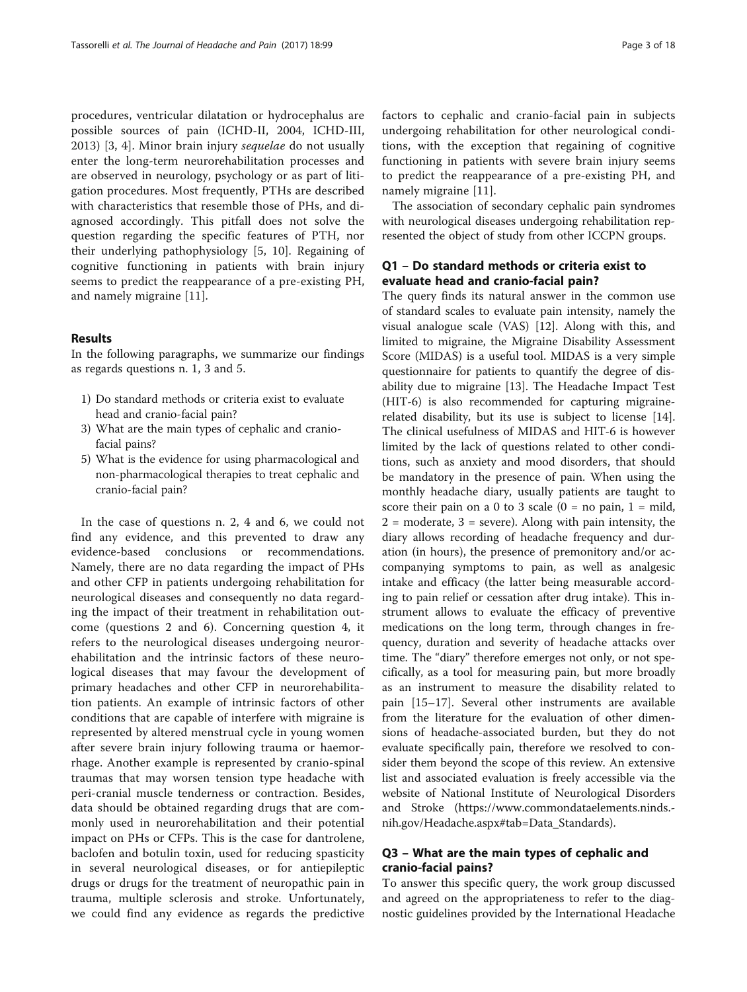procedures, ventricular dilatation or hydrocephalus are possible sources of pain (ICHD-II, 2004, ICHD-III, 2013) [\[3](#page-13-0), [4\]](#page-13-0). Minor brain injury sequelae do not usually enter the long-term neurorehabilitation processes and are observed in neurology, psychology or as part of litigation procedures. Most frequently, PTHs are described with characteristics that resemble those of PHs, and diagnosed accordingly. This pitfall does not solve the question regarding the specific features of PTH, nor their underlying pathophysiology [\[5](#page-13-0), [10](#page-13-0)]. Regaining of cognitive functioning in patients with brain injury seems to predict the reappearance of a pre-existing PH, and namely migraine [[11\]](#page-13-0).

#### Results

In the following paragraphs, we summarize our findings as regards questions n. 1, 3 and 5.

- 1) Do standard methods or criteria exist to evaluate head and cranio-facial pain?
- 3) What are the main types of cephalic and craniofacial pains?
- 5) What is the evidence for using pharmacological and non-pharmacological therapies to treat cephalic and cranio-facial pain?

In the case of questions n. 2, 4 and 6, we could not find any evidence, and this prevented to draw any evidence-based conclusions or recommendations. Namely, there are no data regarding the impact of PHs and other CFP in patients undergoing rehabilitation for neurological diseases and consequently no data regarding the impact of their treatment in rehabilitation outcome (questions 2 and 6). Concerning question 4, it refers to the neurological diseases undergoing neurorehabilitation and the intrinsic factors of these neurological diseases that may favour the development of primary headaches and other CFP in neurorehabilitation patients. An example of intrinsic factors of other conditions that are capable of interfere with migraine is represented by altered menstrual cycle in young women after severe brain injury following trauma or haemorrhage. Another example is represented by cranio-spinal traumas that may worsen tension type headache with peri-cranial muscle tenderness or contraction. Besides, data should be obtained regarding drugs that are commonly used in neurorehabilitation and their potential impact on PHs or CFPs. This is the case for dantrolene, baclofen and botulin toxin, used for reducing spasticity in several neurological diseases, or for antiepileptic drugs or drugs for the treatment of neuropathic pain in trauma, multiple sclerosis and stroke. Unfortunately, we could find any evidence as regards the predictive

factors to cephalic and cranio-facial pain in subjects undergoing rehabilitation for other neurological conditions, with the exception that regaining of cognitive functioning in patients with severe brain injury seems to predict the reappearance of a pre-existing PH, and namely migraine [\[11](#page-13-0)].

The association of secondary cephalic pain syndromes with neurological diseases undergoing rehabilitation represented the object of study from other ICCPN groups.

## Q1 – Do standard methods or criteria exist to evaluate head and cranio-facial pain?

The query finds its natural answer in the common use of standard scales to evaluate pain intensity, namely the visual analogue scale (VAS) [[12\]](#page-13-0). Along with this, and limited to migraine, the Migraine Disability Assessment Score (MIDAS) is a useful tool. MIDAS is a very simple questionnaire for patients to quantify the degree of disability due to migraine [\[13\]](#page-13-0). The Headache Impact Test (HIT-6) is also recommended for capturing migrainerelated disability, but its use is subject to license [\[14](#page-13-0)]. The clinical usefulness of MIDAS and HIT-6 is however limited by the lack of questions related to other conditions, such as anxiety and mood disorders, that should be mandatory in the presence of pain. When using the monthly headache diary, usually patients are taught to score their pain on a 0 to 3 scale  $(0 = no \, pain, 1 = mild,$  $2 =$  moderate,  $3 =$  severe). Along with pain intensity, the diary allows recording of headache frequency and duration (in hours), the presence of premonitory and/or accompanying symptoms to pain, as well as analgesic intake and efficacy (the latter being measurable according to pain relief or cessation after drug intake). This instrument allows to evaluate the efficacy of preventive medications on the long term, through changes in frequency, duration and severity of headache attacks over time. The "diary" therefore emerges not only, or not specifically, as a tool for measuring pain, but more broadly as an instrument to measure the disability related to pain [\[15](#page-13-0)–[17\]](#page-13-0). Several other instruments are available from the literature for the evaluation of other dimensions of headache-associated burden, but they do not evaluate specifically pain, therefore we resolved to consider them beyond the scope of this review. An extensive list and associated evaluation is freely accessible via the website of National Institute of Neurological Disorders and Stroke ([https://www.commondataelements.ninds.](https://www.commondataelements.ninds.nih.gov/Headache.aspx#tab=Data_Standards) [nih.gov/Headache.aspx#tab=Data\\_Standards\)](https://www.commondataelements.ninds.nih.gov/Headache.aspx#tab=Data_Standards).

## Q3 – What are the main types of cephalic and cranio-facial pains?

To answer this specific query, the work group discussed and agreed on the appropriateness to refer to the diagnostic guidelines provided by the International Headache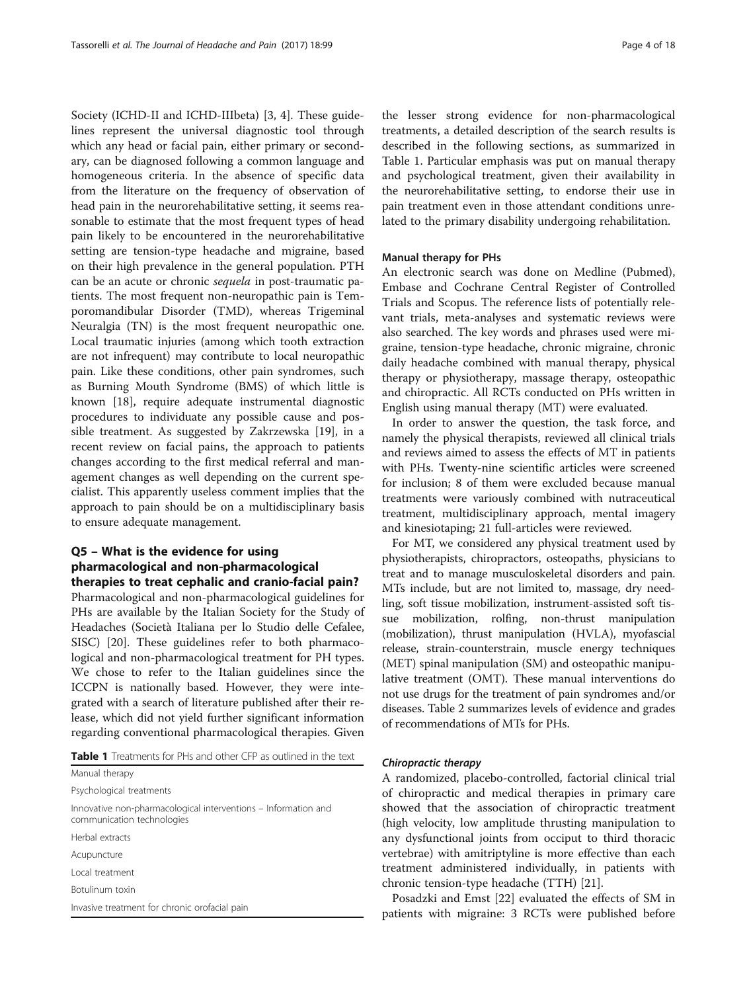Society (ICHD-II and ICHD-IIIbeta) [\[3](#page-13-0), [4\]](#page-13-0). These guidelines represent the universal diagnostic tool through which any head or facial pain, either primary or secondary, can be diagnosed following a common language and homogeneous criteria. In the absence of specific data from the literature on the frequency of observation of head pain in the neurorehabilitative setting, it seems reasonable to estimate that the most frequent types of head pain likely to be encountered in the neurorehabilitative setting are tension-type headache and migraine, based on their high prevalence in the general population. PTH can be an acute or chronic sequela in post-traumatic patients. The most frequent non-neuropathic pain is Temporomandibular Disorder (TMD), whereas Trigeminal Neuralgia (TN) is the most frequent neuropathic one. Local traumatic injuries (among which tooth extraction are not infrequent) may contribute to local neuropathic pain. Like these conditions, other pain syndromes, such as Burning Mouth Syndrome (BMS) of which little is known [\[18](#page-13-0)], require adequate instrumental diagnostic procedures to individuate any possible cause and possible treatment. As suggested by Zakrzewska [\[19](#page-13-0)], in a recent review on facial pains, the approach to patients changes according to the first medical referral and management changes as well depending on the current specialist. This apparently useless comment implies that the approach to pain should be on a multidisciplinary basis to ensure adequate management.

## Q5 – What is the evidence for using pharmacological and non-pharmacological therapies to treat cephalic and cranio-facial pain?

Pharmacological and non-pharmacological guidelines for PHs are available by the Italian Society for the Study of Headaches (Società Italiana per lo Studio delle Cefalee, SISC) [\[20](#page-13-0)]. These guidelines refer to both pharmacological and non-pharmacological treatment for PH types. We chose to refer to the Italian guidelines since the ICCPN is nationally based. However, they were integrated with a search of literature published after their release, which did not yield further significant information regarding conventional pharmacological therapies. Given

|  |  | <b>Table 1</b> Treatments for PHs and other CFP as outlined in the text |  |  |  |  |  |  |  |  |  |  |
|--|--|-------------------------------------------------------------------------|--|--|--|--|--|--|--|--|--|--|
|--|--|-------------------------------------------------------------------------|--|--|--|--|--|--|--|--|--|--|

| Manual therapy                                                                               |
|----------------------------------------------------------------------------------------------|
| Psychological treatments                                                                     |
| Innovative non-pharmacological interventions – Information and<br>communication technologies |
| Herbal extracts                                                                              |
| Acupuncture                                                                                  |
| Local treatment                                                                              |
| Botulinum toxin                                                                              |
| Invasive treatment for chronic orofacial pain                                                |

the lesser strong evidence for non-pharmacological treatments, a detailed description of the search results is described in the following sections, as summarized in Table 1. Particular emphasis was put on manual therapy and psychological treatment, given their availability in the neurorehabilitative setting, to endorse their use in pain treatment even in those attendant conditions unrelated to the primary disability undergoing rehabilitation.

#### Manual therapy for PHs

An electronic search was done on Medline (Pubmed), Embase and Cochrane Central Register of Controlled Trials and Scopus. The reference lists of potentially relevant trials, meta-analyses and systematic reviews were also searched. The key words and phrases used were migraine, tension-type headache, chronic migraine, chronic daily headache combined with manual therapy, physical therapy or physiotherapy, massage therapy, osteopathic and chiropractic. All RCTs conducted on PHs written in English using manual therapy (MT) were evaluated.

In order to answer the question, the task force, and namely the physical therapists, reviewed all clinical trials and reviews aimed to assess the effects of MT in patients with PHs. Twenty-nine scientific articles were screened for inclusion; 8 of them were excluded because manual treatments were variously combined with nutraceutical treatment, multidisciplinary approach, mental imagery and kinesiotaping; 21 full-articles were reviewed.

For MT, we considered any physical treatment used by physiotherapists, chiropractors, osteopaths, physicians to treat and to manage musculoskeletal disorders and pain. MTs include, but are not limited to, massage, dry needling, soft tissue mobilization, instrument-assisted soft tissue mobilization, rolfing, non-thrust manipulation (mobilization), thrust manipulation (HVLA), myofascial release, strain-counterstrain, muscle energy techniques (MET) spinal manipulation (SM) and osteopathic manipulative treatment (OMT). These manual interventions do not use drugs for the treatment of pain syndromes and/or diseases. Table [2](#page-4-0) summarizes levels of evidence and grades of recommendations of MTs for PHs.

#### Chiropractic therapy

A randomized, placebo-controlled, factorial clinical trial of chiropractic and medical therapies in primary care showed that the association of chiropractic treatment (high velocity, low amplitude thrusting manipulation to any dysfunctional joints from occiput to third thoracic vertebrae) with amitriptyline is more effective than each treatment administered individually, in patients with chronic tension-type headache (TTH) [\[21\]](#page-13-0).

Posadzki and Emst [[22](#page-13-0)] evaluated the effects of SM in patients with migraine: 3 RCTs were published before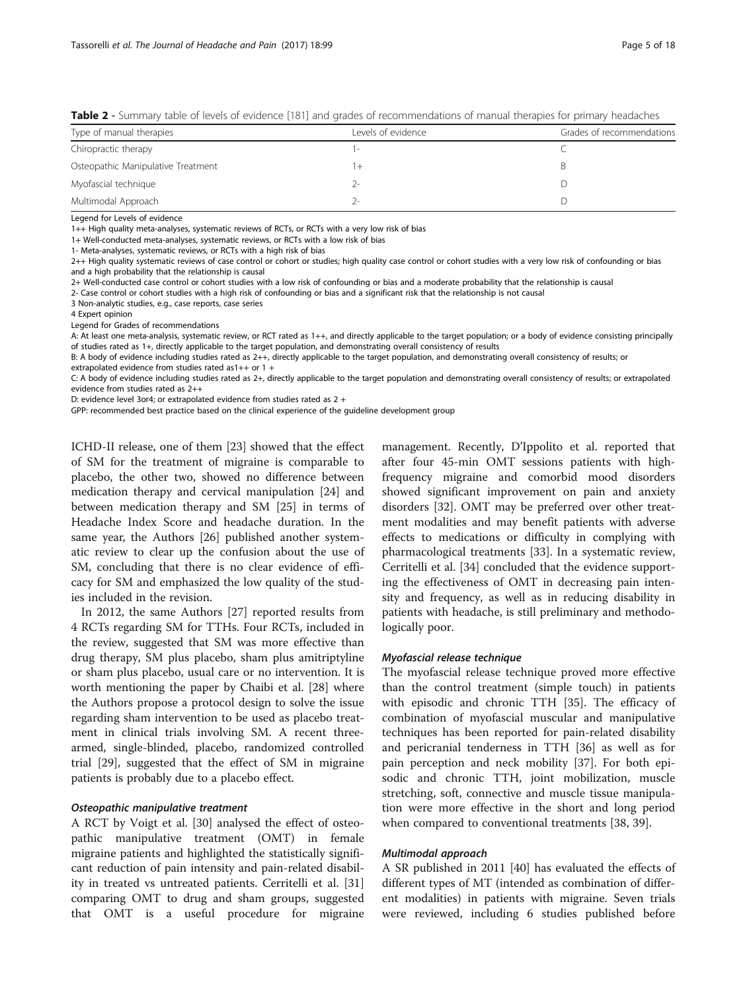| Type of manual therapies           | Levels of evidence | Grades of recommendations |  |  |  |
|------------------------------------|--------------------|---------------------------|--|--|--|
| Chiropractic therapy               |                    |                           |  |  |  |
| Osteopathic Manipulative Treatment |                    |                           |  |  |  |
| Myofascial technique               | $\sqrt{-}$         |                           |  |  |  |
| Multimodal Approach                |                    |                           |  |  |  |

<span id="page-4-0"></span>Table 2 - Summary table of levels of evidence [\[181](#page-17-0)] and grades of recommendations of manual therapies for primary headaches

Legend for Levels of evidence

1++ High quality meta-analyses, systematic reviews of RCTs, or RCTs with a very low risk of bias

1+ Well-conducted meta-analyses, systematic reviews, or RCTs with a low risk of bias

1- Meta-analyses, systematic reviews, or RCTs with a high risk of bias

2++ High quality systematic reviews of case control or cohort or studies; high quality case control or cohort studies with a very low risk of confounding or bias and a high probability that the relationship is causal

2+ Well-conducted case control or cohort studies with a low risk of confounding or bias and a moderate probability that the relationship is causal

2- Case control or cohort studies with a high risk of confounding or bias and a significant risk that the relationship is not causal

3 Non-analytic studies, e.g., case reports, case series

4 Expert opinion

Legend for Grades of recommendations

A: At least one meta-analysis, systematic review, or RCT rated as 1++, and directly applicable to the target population; or a body of evidence consisting principally of studies rated as 1+, directly applicable to the target population, and demonstrating overall consistency of results

B: A body of evidence including studies rated as 2++, directly applicable to the target population, and demonstrating overall consistency of results; or

extrapolated evidence from studies rated as1++ or 1 +

C: A body of evidence including studies rated as 2+, directly applicable to the target population and demonstrating overall consistency of results; or extrapolated evidence from studies rated as 2++

D: evidence level 3or4; or extrapolated evidence from studies rated as 2 +

GPP: recommended best practice based on the clinical experience of the guideline development group

ICHD-II release, one of them [[23](#page-13-0)] showed that the effect of SM for the treatment of migraine is comparable to placebo, the other two, showed no difference between medication therapy and cervical manipulation [\[24\]](#page-13-0) and between medication therapy and SM [[25](#page-13-0)] in terms of Headache Index Score and headache duration. In the same year, the Authors [\[26](#page-13-0)] published another systematic review to clear up the confusion about the use of SM, concluding that there is no clear evidence of efficacy for SM and emphasized the low quality of the studies included in the revision.

In 2012, the same Authors [[27](#page-13-0)] reported results from 4 RCTs regarding SM for TTHs. Four RCTs, included in the review, suggested that SM was more effective than drug therapy, SM plus placebo, sham plus amitriptyline or sham plus placebo, usual care or no intervention. It is worth mentioning the paper by Chaibi et al. [\[28](#page-13-0)] where the Authors propose a protocol design to solve the issue regarding sham intervention to be used as placebo treatment in clinical trials involving SM. A recent threearmed, single-blinded, placebo, randomized controlled trial [[29\]](#page-13-0), suggested that the effect of SM in migraine patients is probably due to a placebo effect.

#### Osteopathic manipulative treatment

A RCT by Voigt et al. [[30](#page-13-0)] analysed the effect of osteopathic manipulative treatment (OMT) in female migraine patients and highlighted the statistically significant reduction of pain intensity and pain-related disability in treated vs untreated patients. Cerritelli et al. [[31](#page-13-0)] comparing OMT to drug and sham groups, suggested that OMT is a useful procedure for migraine

management. Recently, D'Ippolito et al. reported that after four 45-min OMT sessions patients with highfrequency migraine and comorbid mood disorders showed significant improvement on pain and anxiety disorders [[32\]](#page-14-0). OMT may be preferred over other treatment modalities and may benefit patients with adverse effects to medications or difficulty in complying with pharmacological treatments [[33](#page-14-0)]. In a systematic review, Cerritelli et al. [[34](#page-14-0)] concluded that the evidence supporting the effectiveness of OMT in decreasing pain intensity and frequency, as well as in reducing disability in patients with headache, is still preliminary and methodologically poor.

#### Myofascial release technique

The myofascial release technique proved more effective than the control treatment (simple touch) in patients with episodic and chronic TTH [[35\]](#page-14-0). The efficacy of combination of myofascial muscular and manipulative techniques has been reported for pain-related disability and pericranial tenderness in TTH [\[36\]](#page-14-0) as well as for pain perception and neck mobility [[37\]](#page-14-0). For both episodic and chronic TTH, joint mobilization, muscle stretching, soft, connective and muscle tissue manipulation were more effective in the short and long period when compared to conventional treatments [[38, 39](#page-14-0)].

#### Multimodal approach

A SR published in 2011 [[40\]](#page-14-0) has evaluated the effects of different types of MT (intended as combination of different modalities) in patients with migraine. Seven trials were reviewed, including 6 studies published before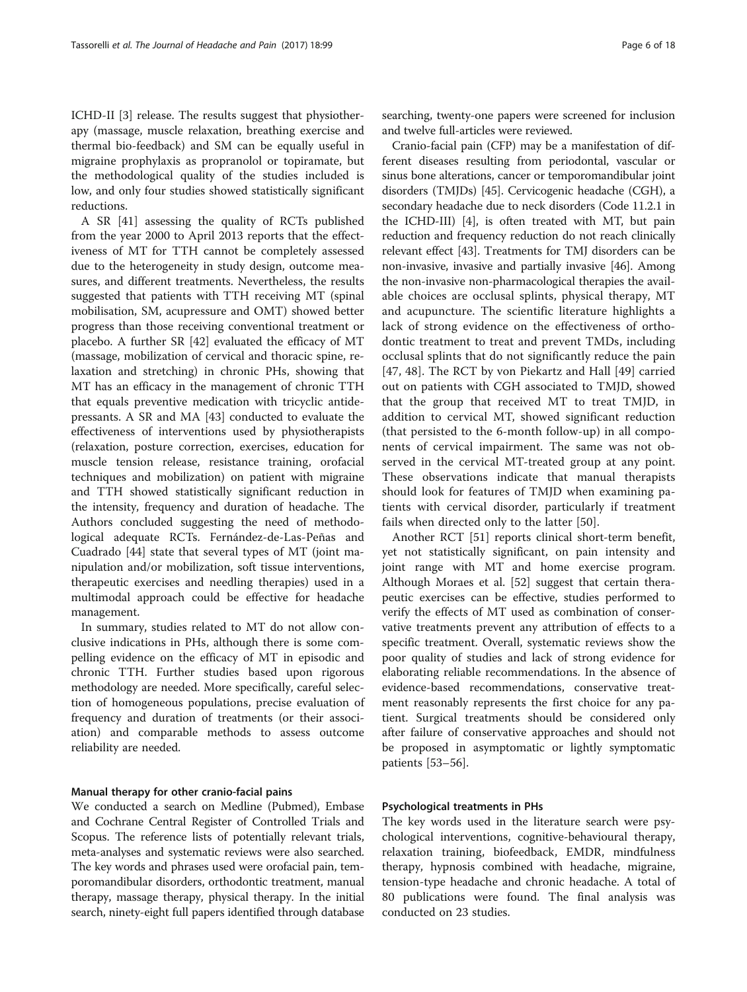ICHD-II [[3\]](#page-13-0) release. The results suggest that physiotherapy (massage, muscle relaxation, breathing exercise and thermal bio-feedback) and SM can be equally useful in migraine prophylaxis as propranolol or topiramate, but the methodological quality of the studies included is low, and only four studies showed statistically significant reductions.

A SR [\[41\]](#page-14-0) assessing the quality of RCTs published from the year 2000 to April 2013 reports that the effectiveness of MT for TTH cannot be completely assessed due to the heterogeneity in study design, outcome measures, and different treatments. Nevertheless, the results suggested that patients with TTH receiving MT (spinal mobilisation, SM, acupressure and OMT) showed better progress than those receiving conventional treatment or placebo. A further SR [\[42\]](#page-14-0) evaluated the efficacy of MT (massage, mobilization of cervical and thoracic spine, relaxation and stretching) in chronic PHs, showing that MT has an efficacy in the management of chronic TTH that equals preventive medication with tricyclic antidepressants. A SR and MA [[43](#page-14-0)] conducted to evaluate the effectiveness of interventions used by physiotherapists (relaxation, posture correction, exercises, education for muscle tension release, resistance training, orofacial techniques and mobilization) on patient with migraine and TTH showed statistically significant reduction in the intensity, frequency and duration of headache. The Authors concluded suggesting the need of methodological adequate RCTs. Fernández-de-Las-Peñas and Cuadrado [\[44](#page-14-0)] state that several types of MT (joint manipulation and/or mobilization, soft tissue interventions, therapeutic exercises and needling therapies) used in a multimodal approach could be effective for headache management.

In summary, studies related to MT do not allow conclusive indications in PHs, although there is some compelling evidence on the efficacy of MT in episodic and chronic TTH. Further studies based upon rigorous methodology are needed. More specifically, careful selection of homogeneous populations, precise evaluation of frequency and duration of treatments (or their association) and comparable methods to assess outcome reliability are needed.

#### Manual therapy for other cranio-facial pains

We conducted a search on Medline (Pubmed), Embase and Cochrane Central Register of Controlled Trials and Scopus. The reference lists of potentially relevant trials, meta-analyses and systematic reviews were also searched. The key words and phrases used were orofacial pain, temporomandibular disorders, orthodontic treatment, manual therapy, massage therapy, physical therapy. In the initial search, ninety-eight full papers identified through database

searching, twenty-one papers were screened for inclusion and twelve full-articles were reviewed.

Cranio-facial pain (CFP) may be a manifestation of different diseases resulting from periodontal, vascular or sinus bone alterations, cancer or temporomandibular joint disorders (TMJDs) [[45](#page-14-0)]. Cervicogenic headache (CGH), a secondary headache due to neck disorders (Code 11.2.1 in the ICHD-III) [[4](#page-13-0)], is often treated with MT, but pain reduction and frequency reduction do not reach clinically relevant effect [\[43\]](#page-14-0). Treatments for TMJ disorders can be non-invasive, invasive and partially invasive [[46\]](#page-14-0). Among the non-invasive non-pharmacological therapies the available choices are occlusal splints, physical therapy, MT and acupuncture. The scientific literature highlights a lack of strong evidence on the effectiveness of orthodontic treatment to treat and prevent TMDs, including occlusal splints that do not significantly reduce the pain [[47, 48](#page-14-0)]. The RCT by von Piekartz and Hall [\[49](#page-14-0)] carried out on patients with CGH associated to TMJD, showed that the group that received MT to treat TMJD, in addition to cervical MT, showed significant reduction (that persisted to the 6-month follow-up) in all components of cervical impairment. The same was not observed in the cervical MT-treated group at any point. These observations indicate that manual therapists should look for features of TMJD when examining patients with cervical disorder, particularly if treatment fails when directed only to the latter [[50\]](#page-14-0).

Another RCT [\[51](#page-14-0)] reports clinical short-term benefit, yet not statistically significant, on pain intensity and joint range with MT and home exercise program. Although Moraes et al. [\[52](#page-14-0)] suggest that certain therapeutic exercises can be effective, studies performed to verify the effects of MT used as combination of conservative treatments prevent any attribution of effects to a specific treatment. Overall, systematic reviews show the poor quality of studies and lack of strong evidence for elaborating reliable recommendations. In the absence of evidence-based recommendations, conservative treatment reasonably represents the first choice for any patient. Surgical treatments should be considered only after failure of conservative approaches and should not be proposed in asymptomatic or lightly symptomatic patients [\[53](#page-14-0)–[56\]](#page-14-0).

#### Psychological treatments in PHs

The key words used in the literature search were psychological interventions, cognitive-behavioural therapy, relaxation training, biofeedback, EMDR, mindfulness therapy, hypnosis combined with headache, migraine, tension-type headache and chronic headache. A total of 80 publications were found. The final analysis was conducted on 23 studies.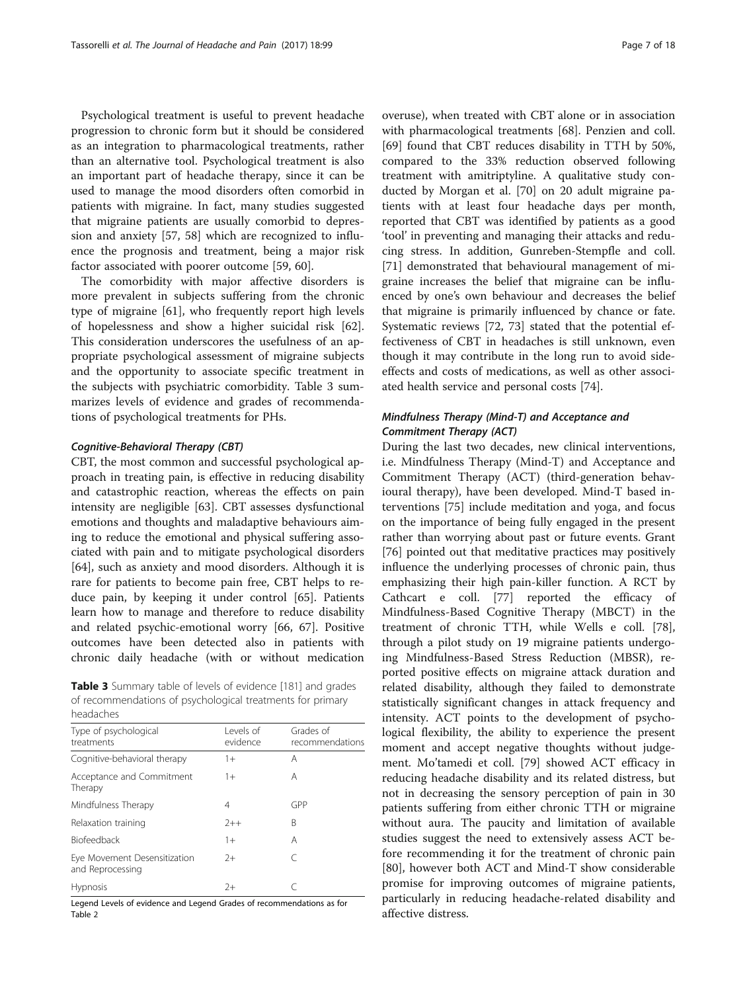Psychological treatment is useful to prevent headache progression to chronic form but it should be considered as an integration to pharmacological treatments, rather than an alternative tool. Psychological treatment is also an important part of headache therapy, since it can be used to manage the mood disorders often comorbid in patients with migraine. In fact, many studies suggested that migraine patients are usually comorbid to depression and anxiety [[57, 58](#page-14-0)] which are recognized to influence the prognosis and treatment, being a major risk factor associated with poorer outcome [\[59](#page-14-0), [60](#page-14-0)].

The comorbidity with major affective disorders is more prevalent in subjects suffering from the chronic type of migraine [\[61](#page-14-0)], who frequently report high levels of hopelessness and show a higher suicidal risk [\[62](#page-14-0)]. This consideration underscores the usefulness of an appropriate psychological assessment of migraine subjects and the opportunity to associate specific treatment in the subjects with psychiatric comorbidity. Table 3 summarizes levels of evidence and grades of recommendations of psychological treatments for PHs.

#### Cognitive-Behavioral Therapy (CBT)

CBT, the most common and successful psychological approach in treating pain, is effective in reducing disability and catastrophic reaction, whereas the effects on pain intensity are negligible [\[63](#page-14-0)]. CBT assesses dysfunctional emotions and thoughts and maladaptive behaviours aiming to reduce the emotional and physical suffering associated with pain and to mitigate psychological disorders [[64\]](#page-14-0), such as anxiety and mood disorders. Although it is rare for patients to become pain free, CBT helps to reduce pain, by keeping it under control [\[65](#page-14-0)]. Patients learn how to manage and therefore to reduce disability and related psychic-emotional worry [\[66](#page-14-0), [67](#page-14-0)]. Positive outcomes have been detected also in patients with chronic daily headache (with or without medication

Table 3 Summary table of levels of evidence [[181\]](#page-17-0) and grades of recommendations of psychological treatments for primary headaches

| .                                                |                       |                              |  |  |
|--------------------------------------------------|-----------------------|------------------------------|--|--|
| Type of psychological<br>treatments              | Levels of<br>evidence | Grades of<br>recommendations |  |  |
| Cognitive-behavioral therapy                     | $1+$                  | Α                            |  |  |
| Acceptance and Commitment<br>Therapy             | $1+$                  | А                            |  |  |
| Mindfulness Therapy                              | 4                     | GPP                          |  |  |
| Relaxation training                              | $2 + +$               | B                            |  |  |
| <b>Biofeedback</b>                               | $1+$                  | Α                            |  |  |
| Eye Movement Desensitization<br>and Reprocessing | $2+$                  | $\subset$                    |  |  |
| <b>Hypnosis</b>                                  | $2+$                  |                              |  |  |

Legend Levels of evidence and Legend Grades of recommendations as for Table [2](#page-4-0)

overuse), when treated with CBT alone or in association with pharmacological treatments [\[68\]](#page-14-0). Penzien and coll. [[69\]](#page-14-0) found that CBT reduces disability in TTH by 50%, compared to the 33% reduction observed following treatment with amitriptyline. A qualitative study conducted by Morgan et al. [[70\]](#page-14-0) on 20 adult migraine patients with at least four headache days per month, reported that CBT was identified by patients as a good 'tool' in preventing and managing their attacks and reducing stress. In addition, Gunreben-Stempfle and coll. [[71\]](#page-14-0) demonstrated that behavioural management of migraine increases the belief that migraine can be influenced by one's own behaviour and decreases the belief that migraine is primarily influenced by chance or fate. Systematic reviews [[72](#page-14-0), [73](#page-14-0)] stated that the potential effectiveness of CBT in headaches is still unknown, even though it may contribute in the long run to avoid sideeffects and costs of medications, as well as other associated health service and personal costs [[74\]](#page-14-0).

## Mindfulness Therapy (Mind-T) and Acceptance and Commitment Therapy (ACT)

During the last two decades, new clinical interventions, i.e. Mindfulness Therapy (Mind-T) and Acceptance and Commitment Therapy (ACT) (third-generation behavioural therapy), have been developed. Mind-T based interventions [\[75](#page-14-0)] include meditation and yoga, and focus on the importance of being fully engaged in the present rather than worrying about past or future events. Grant [[76\]](#page-14-0) pointed out that meditative practices may positively influence the underlying processes of chronic pain, thus emphasizing their high pain-killer function. A RCT by Cathcart e coll. [[77](#page-14-0)] reported the efficacy of Mindfulness-Based Cognitive Therapy (MBCT) in the treatment of chronic TTH, while Wells e coll. [\[78](#page-14-0)], through a pilot study on 19 migraine patients undergoing Mindfulness-Based Stress Reduction (MBSR), reported positive effects on migraine attack duration and related disability, although they failed to demonstrate statistically significant changes in attack frequency and intensity. ACT points to the development of psychological flexibility, the ability to experience the present moment and accept negative thoughts without judgement. Mo'tamedi et coll. [[79\]](#page-15-0) showed ACT efficacy in reducing headache disability and its related distress, but not in decreasing the sensory perception of pain in 30 patients suffering from either chronic TTH or migraine without aura. The paucity and limitation of available studies suggest the need to extensively assess ACT before recommending it for the treatment of chronic pain [[80\]](#page-15-0), however both ACT and Mind-T show considerable promise for improving outcomes of migraine patients, particularly in reducing headache-related disability and affective distress.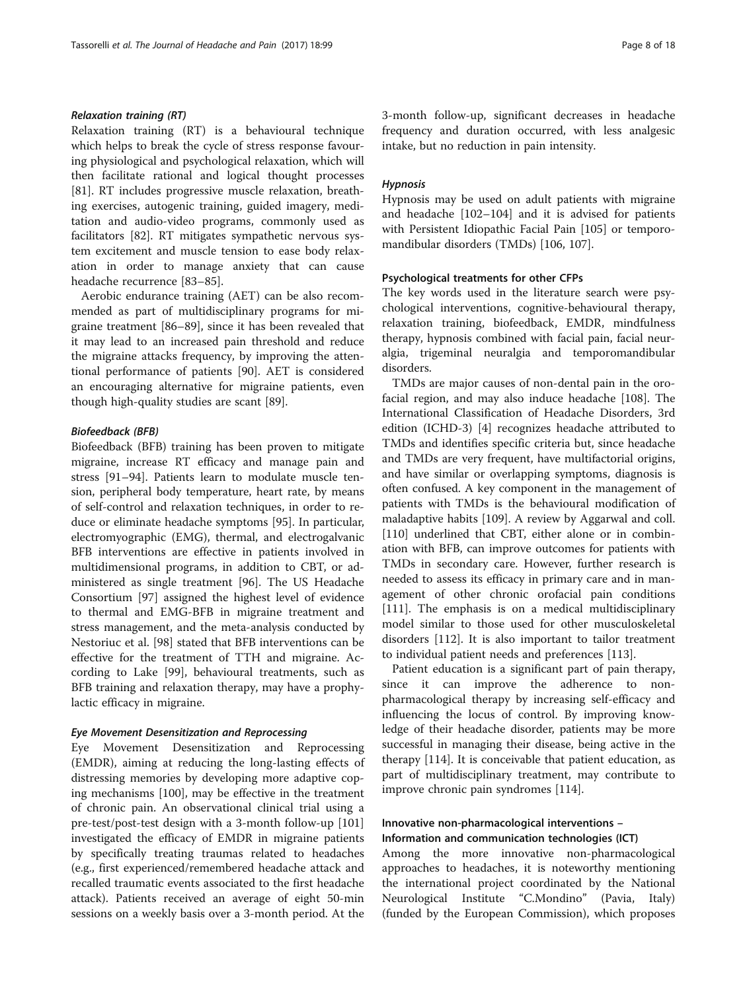#### Relaxation training (RT)

Relaxation training (RT) is a behavioural technique which helps to break the cycle of stress response favouring physiological and psychological relaxation, which will then facilitate rational and logical thought processes [[81\]](#page-15-0). RT includes progressive muscle relaxation, breathing exercises, autogenic training, guided imagery, meditation and audio-video programs, commonly used as facilitators [[82\]](#page-15-0). RT mitigates sympathetic nervous system excitement and muscle tension to ease body relaxation in order to manage anxiety that can cause headache recurrence [\[83](#page-15-0)–[85](#page-15-0)].

Aerobic endurance training (AET) can be also recommended as part of multidisciplinary programs for migraine treatment [\[86](#page-15-0)–[89\]](#page-15-0), since it has been revealed that it may lead to an increased pain threshold and reduce the migraine attacks frequency, by improving the attentional performance of patients [[90](#page-15-0)]. AET is considered an encouraging alternative for migraine patients, even though high-quality studies are scant [\[89](#page-15-0)].

#### Biofeedback (BFB)

Biofeedback (BFB) training has been proven to mitigate migraine, increase RT efficacy and manage pain and stress [\[91](#page-15-0)–[94\]](#page-15-0). Patients learn to modulate muscle tension, peripheral body temperature, heart rate, by means of self-control and relaxation techniques, in order to reduce or eliminate headache symptoms [\[95\]](#page-15-0). In particular, electromyographic (EMG), thermal, and electrogalvanic BFB interventions are effective in patients involved in multidimensional programs, in addition to CBT, or administered as single treatment [\[96](#page-15-0)]. The US Headache Consortium [\[97](#page-15-0)] assigned the highest level of evidence to thermal and EMG-BFB in migraine treatment and stress management, and the meta-analysis conducted by Nestoriuc et al. [\[98](#page-15-0)] stated that BFB interventions can be effective for the treatment of TTH and migraine. According to Lake [\[99\]](#page-15-0), behavioural treatments, such as BFB training and relaxation therapy, may have a prophylactic efficacy in migraine.

#### Eye Movement Desensitization and Reprocessing

Eye Movement Desensitization and Reprocessing (EMDR), aiming at reducing the long-lasting effects of distressing memories by developing more adaptive coping mechanisms [[100](#page-15-0)], may be effective in the treatment of chronic pain. An observational clinical trial using a pre-test/post-test design with a 3-month follow-up [[101](#page-15-0)] investigated the efficacy of EMDR in migraine patients by specifically treating traumas related to headaches (e.g., first experienced/remembered headache attack and recalled traumatic events associated to the first headache attack). Patients received an average of eight 50-min sessions on a weekly basis over a 3-month period. At the 3-month follow-up, significant decreases in headache frequency and duration occurred, with less analgesic intake, but no reduction in pain intensity.

#### Hypnosis

Hypnosis may be used on adult patients with migraine and headache [\[102](#page-15-0)–[104\]](#page-15-0) and it is advised for patients with Persistent Idiopathic Facial Pain [\[105\]](#page-15-0) or temporomandibular disorders (TMDs) [[106, 107](#page-15-0)].

#### Psychological treatments for other CFPs

The key words used in the literature search were psychological interventions, cognitive-behavioural therapy, relaxation training, biofeedback, EMDR, mindfulness therapy, hypnosis combined with facial pain, facial neuralgia, trigeminal neuralgia and temporomandibular disorders.

TMDs are major causes of non-dental pain in the orofacial region, and may also induce headache [\[108](#page-15-0)]. The International Classification of Headache Disorders, 3rd edition (ICHD-3) [\[4](#page-13-0)] recognizes headache attributed to TMDs and identifies specific criteria but, since headache and TMDs are very frequent, have multifactorial origins, and have similar or overlapping symptoms, diagnosis is often confused. A key component in the management of patients with TMDs is the behavioural modification of maladaptive habits [\[109](#page-15-0)]. A review by Aggarwal and coll. [[110\]](#page-15-0) underlined that CBT, either alone or in combination with BFB, can improve outcomes for patients with TMDs in secondary care. However, further research is needed to assess its efficacy in primary care and in management of other chronic orofacial pain conditions [[111\]](#page-15-0). The emphasis is on a medical multidisciplinary model similar to those used for other musculoskeletal disorders [[112](#page-15-0)]. It is also important to tailor treatment to individual patient needs and preferences [\[113](#page-15-0)].

Patient education is a significant part of pain therapy, since it can improve the adherence to nonpharmacological therapy by increasing self-efficacy and influencing the locus of control. By improving knowledge of their headache disorder, patients may be more successful in managing their disease, being active in the therapy [[114](#page-15-0)]. It is conceivable that patient education, as part of multidisciplinary treatment, may contribute to improve chronic pain syndromes [[114\]](#page-15-0).

## Innovative non-pharmacological interventions – Information and communication technologies (ICT)

Among the more innovative non-pharmacological approaches to headaches, it is noteworthy mentioning the international project coordinated by the National Neurological Institute "C.Mondino" (Pavia, Italy) (funded by the European Commission), which proposes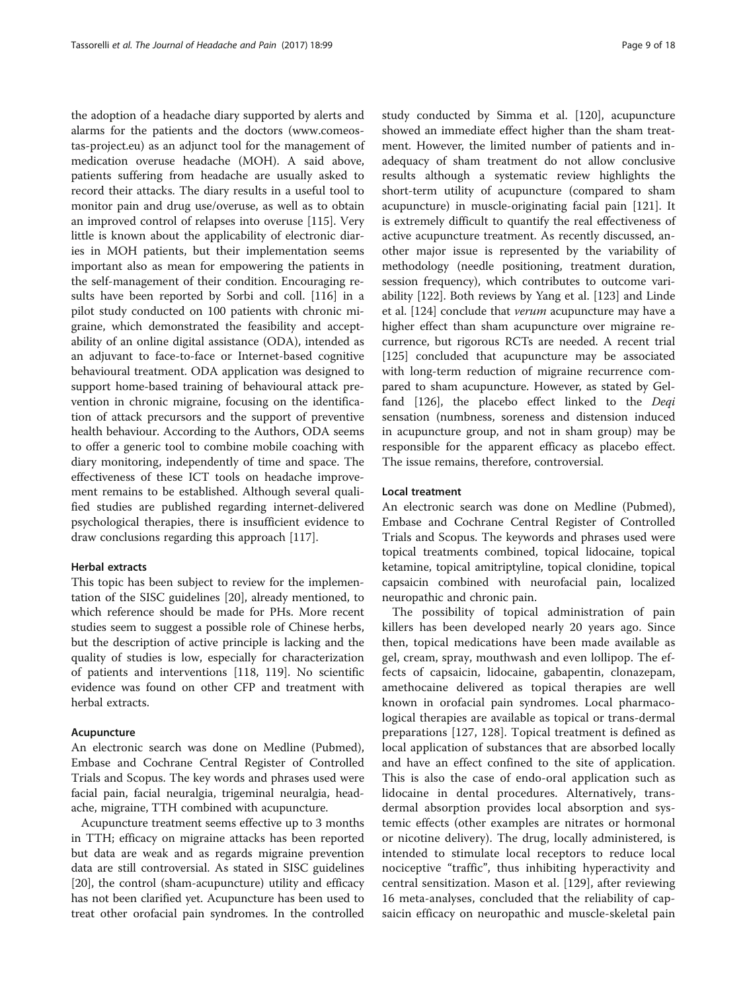the adoption of a headache diary supported by alerts and alarms for the patients and the doctors [\(www.comeos](http://www.comeostas-project.eu)[tas-project.eu](http://www.comeostas-project.eu)) as an adjunct tool for the management of medication overuse headache (MOH). A said above, patients suffering from headache are usually asked to record their attacks. The diary results in a useful tool to monitor pain and drug use/overuse, as well as to obtain an improved control of relapses into overuse [\[115\]](#page-15-0). Very little is known about the applicability of electronic diaries in MOH patients, but their implementation seems important also as mean for empowering the patients in the self-management of their condition. Encouraging results have been reported by Sorbi and coll. [\[116\]](#page-15-0) in a pilot study conducted on 100 patients with chronic migraine, which demonstrated the feasibility and acceptability of an online digital assistance (ODA), intended as an adjuvant to face-to-face or Internet-based cognitive behavioural treatment. ODA application was designed to support home-based training of behavioural attack prevention in chronic migraine, focusing on the identification of attack precursors and the support of preventive health behaviour. According to the Authors, ODA seems to offer a generic tool to combine mobile coaching with diary monitoring, independently of time and space. The effectiveness of these ICT tools on headache improvement remains to be established. Although several qualified studies are published regarding internet-delivered psychological therapies, there is insufficient evidence to draw conclusions regarding this approach [[117\]](#page-15-0).

## Herbal extracts

This topic has been subject to review for the implementation of the SISC guidelines [\[20\]](#page-13-0), already mentioned, to which reference should be made for PHs. More recent studies seem to suggest a possible role of Chinese herbs, but the description of active principle is lacking and the quality of studies is low, especially for characterization of patients and interventions [[118](#page-15-0), [119](#page-15-0)]. No scientific evidence was found on other CFP and treatment with herbal extracts.

#### Acupuncture

An electronic search was done on Medline (Pubmed), Embase and Cochrane Central Register of Controlled Trials and Scopus. The key words and phrases used were facial pain, facial neuralgia, trigeminal neuralgia, headache, migraine, TTH combined with acupuncture.

Acupuncture treatment seems effective up to 3 months in TTH; efficacy on migraine attacks has been reported but data are weak and as regards migraine prevention data are still controversial. As stated in SISC guidelines [[20\]](#page-13-0), the control (sham-acupuncture) utility and efficacy has not been clarified yet. Acupuncture has been used to treat other orofacial pain syndromes. In the controlled study conducted by Simma et al. [[120](#page-15-0)], acupuncture showed an immediate effect higher than the sham treatment. However, the limited number of patients and inadequacy of sham treatment do not allow conclusive results although a systematic review highlights the short-term utility of acupuncture (compared to sham acupuncture) in muscle-originating facial pain [[121](#page-15-0)]. It is extremely difficult to quantify the real effectiveness of active acupuncture treatment. As recently discussed, another major issue is represented by the variability of methodology (needle positioning, treatment duration, session frequency), which contributes to outcome variability [[122](#page-15-0)]. Both reviews by Yang et al. [\[123](#page-15-0)] and Linde et al. [\[124](#page-16-0)] conclude that verum acupuncture may have a higher effect than sham acupuncture over migraine recurrence, but rigorous RCTs are needed. A recent trial [[125\]](#page-16-0) concluded that acupuncture may be associated with long-term reduction of migraine recurrence compared to sham acupuncture. However, as stated by Gelfand [\[126](#page-16-0)], the placebo effect linked to the Deqi sensation (numbness, soreness and distension induced in acupuncture group, and not in sham group) may be responsible for the apparent efficacy as placebo effect. The issue remains, therefore, controversial.

#### Local treatment

An electronic search was done on Medline (Pubmed), Embase and Cochrane Central Register of Controlled Trials and Scopus. The keywords and phrases used were topical treatments combined, topical lidocaine, topical ketamine, topical amitriptyline, topical clonidine, topical capsaicin combined with neurofacial pain, localized neuropathic and chronic pain.

The possibility of topical administration of pain killers has been developed nearly 20 years ago. Since then, topical medications have been made available as gel, cream, spray, mouthwash and even lollipop. The effects of capsaicin, lidocaine, gabapentin, clonazepam, amethocaine delivered as topical therapies are well known in orofacial pain syndromes. Local pharmacological therapies are available as topical or trans-dermal preparations [\[127](#page-16-0), [128\]](#page-16-0). Topical treatment is defined as local application of substances that are absorbed locally and have an effect confined to the site of application. This is also the case of endo-oral application such as lidocaine in dental procedures. Alternatively, transdermal absorption provides local absorption and systemic effects (other examples are nitrates or hormonal or nicotine delivery). The drug, locally administered, is intended to stimulate local receptors to reduce local nociceptive "traffic", thus inhibiting hyperactivity and central sensitization. Mason et al. [[129\]](#page-16-0), after reviewing 16 meta-analyses, concluded that the reliability of capsaicin efficacy on neuropathic and muscle-skeletal pain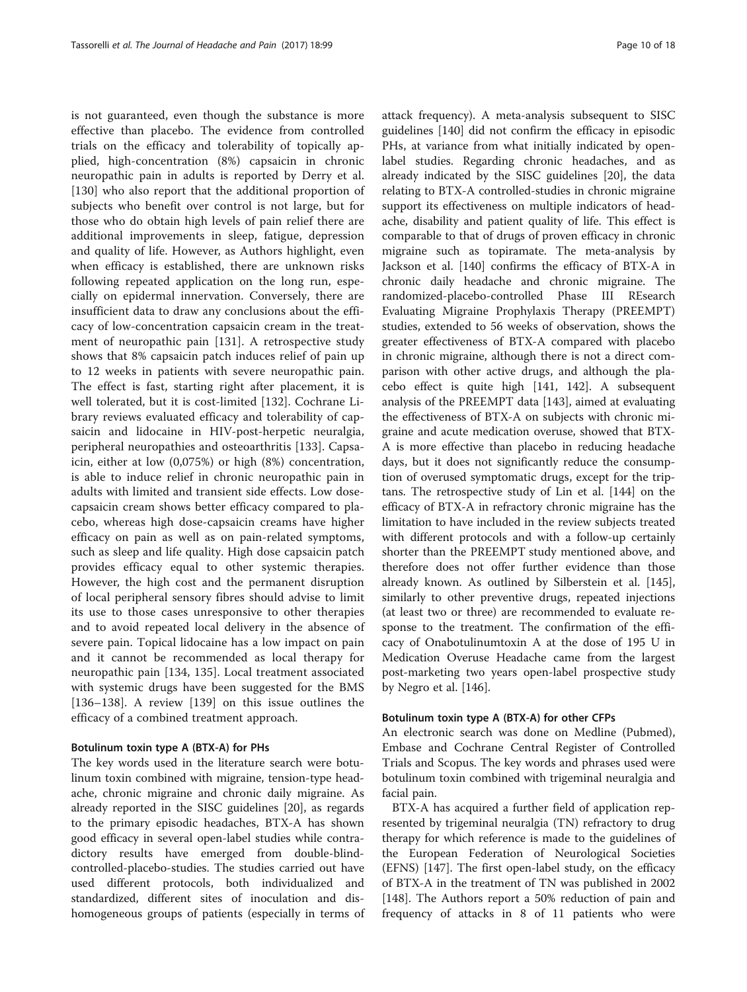is not guaranteed, even though the substance is more effective than placebo. The evidence from controlled trials on the efficacy and tolerability of topically applied, high-concentration (8%) capsaicin in chronic neuropathic pain in adults is reported by Derry et al. [[130\]](#page-16-0) who also report that the additional proportion of subjects who benefit over control is not large, but for those who do obtain high levels of pain relief there are additional improvements in sleep, fatigue, depression and quality of life. However, as Authors highlight, even when efficacy is established, there are unknown risks following repeated application on the long run, especially on epidermal innervation. Conversely, there are insufficient data to draw any conclusions about the efficacy of low-concentration capsaicin cream in the treatment of neuropathic pain [\[131](#page-16-0)]. A retrospective study shows that 8% capsaicin patch induces relief of pain up to 12 weeks in patients with severe neuropathic pain. The effect is fast, starting right after placement, it is well tolerated, but it is cost-limited [[132](#page-16-0)]. Cochrane Library reviews evaluated efficacy and tolerability of capsaicin and lidocaine in HIV-post-herpetic neuralgia, peripheral neuropathies and osteoarthritis [[133\]](#page-16-0). Capsaicin, either at low (0,075%) or high (8%) concentration, is able to induce relief in chronic neuropathic pain in adults with limited and transient side effects. Low dosecapsaicin cream shows better efficacy compared to placebo, whereas high dose-capsaicin creams have higher efficacy on pain as well as on pain-related symptoms, such as sleep and life quality. High dose capsaicin patch provides efficacy equal to other systemic therapies. However, the high cost and the permanent disruption of local peripheral sensory fibres should advise to limit its use to those cases unresponsive to other therapies and to avoid repeated local delivery in the absence of severe pain. Topical lidocaine has a low impact on pain and it cannot be recommended as local therapy for neuropathic pain [\[134](#page-16-0), [135\]](#page-16-0). Local treatment associated with systemic drugs have been suggested for the BMS [[136](#page-16-0)–[138\]](#page-16-0). A review [\[139](#page-16-0)] on this issue outlines the efficacy of a combined treatment approach.

#### Botulinum toxin type A (BTX-A) for PHs

The key words used in the literature search were botulinum toxin combined with migraine, tension-type headache, chronic migraine and chronic daily migraine. As already reported in the SISC guidelines [\[20](#page-13-0)], as regards to the primary episodic headaches, BTX-A has shown good efficacy in several open-label studies while contradictory results have emerged from double-blindcontrolled-placebo-studies. The studies carried out have used different protocols, both individualized and standardized, different sites of inoculation and dishomogeneous groups of patients (especially in terms of attack frequency). A meta-analysis subsequent to SISC guidelines [\[140](#page-16-0)] did not confirm the efficacy in episodic PHs, at variance from what initially indicated by openlabel studies. Regarding chronic headaches, and as already indicated by the SISC guidelines [\[20](#page-13-0)], the data relating to BTX-A controlled-studies in chronic migraine support its effectiveness on multiple indicators of headache, disability and patient quality of life. This effect is comparable to that of drugs of proven efficacy in chronic migraine such as topiramate. The meta-analysis by Jackson et al. [\[140\]](#page-16-0) confirms the efficacy of BTX-A in chronic daily headache and chronic migraine. The randomized-placebo-controlled Phase III REsearch Evaluating Migraine Prophylaxis Therapy (PREEMPT) studies, extended to 56 weeks of observation, shows the greater effectiveness of BTX-A compared with placebo in chronic migraine, although there is not a direct comparison with other active drugs, and although the placebo effect is quite high [\[141, 142\]](#page-16-0). A subsequent analysis of the PREEMPT data [[143\]](#page-16-0), aimed at evaluating the effectiveness of BTX-A on subjects with chronic migraine and acute medication overuse, showed that BTX-A is more effective than placebo in reducing headache days, but it does not significantly reduce the consumption of overused symptomatic drugs, except for the triptans. The retrospective study of Lin et al. [[144\]](#page-16-0) on the efficacy of BTX-A in refractory chronic migraine has the limitation to have included in the review subjects treated with different protocols and with a follow-up certainly shorter than the PREEMPT study mentioned above, and therefore does not offer further evidence than those already known. As outlined by Silberstein et al. [[145](#page-16-0)], similarly to other preventive drugs, repeated injections (at least two or three) are recommended to evaluate response to the treatment. The confirmation of the efficacy of Onabotulinumtoxin A at the dose of 195 U in Medication Overuse Headache came from the largest post-marketing two years open-label prospective study by Negro et al. [\[146\]](#page-16-0).

## Botulinum toxin type A (BTX-A) for other CFPs

An electronic search was done on Medline (Pubmed), Embase and Cochrane Central Register of Controlled Trials and Scopus. The key words and phrases used were botulinum toxin combined with trigeminal neuralgia and facial pain.

BTX-A has acquired a further field of application represented by trigeminal neuralgia (TN) refractory to drug therapy for which reference is made to the guidelines of the European Federation of Neurological Societies (EFNS) [[147\]](#page-16-0). The first open-label study, on the efficacy of BTX-A in the treatment of TN was published in 2002 [[148\]](#page-16-0). The Authors report a 50% reduction of pain and frequency of attacks in 8 of 11 patients who were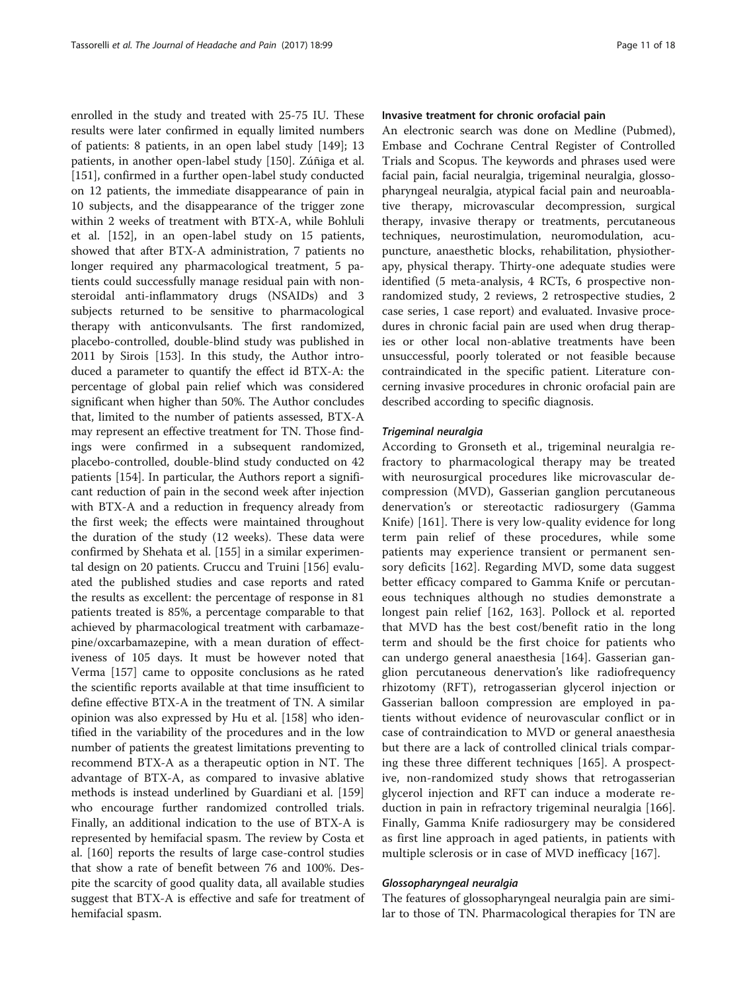enrolled in the study and treated with 25-75 IU. These results were later confirmed in equally limited numbers of patients: 8 patients, in an open label study [[149](#page-16-0)]; 13 patients, in another open-label study [\[150\]](#page-16-0). Zúñiga et al. [[151\]](#page-16-0), confirmed in a further open-label study conducted on 12 patients, the immediate disappearance of pain in 10 subjects, and the disappearance of the trigger zone within 2 weeks of treatment with BTX-A, while Bohluli et al. [\[152\]](#page-16-0), in an open-label study on 15 patients, showed that after BTX-A administration, 7 patients no longer required any pharmacological treatment, 5 patients could successfully manage residual pain with nonsteroidal anti-inflammatory drugs (NSAIDs) and 3 subjects returned to be sensitive to pharmacological therapy with anticonvulsants. The first randomized, placebo-controlled, double-blind study was published in 2011 by Sirois [[153\]](#page-16-0). In this study, the Author introduced a parameter to quantify the effect id BTX-A: the percentage of global pain relief which was considered significant when higher than 50%. The Author concludes that, limited to the number of patients assessed, BTX-A may represent an effective treatment for TN. Those findings were confirmed in a subsequent randomized, placebo-controlled, double-blind study conducted on 42 patients [\[154\]](#page-16-0). In particular, the Authors report a significant reduction of pain in the second week after injection with BTX-A and a reduction in frequency already from the first week; the effects were maintained throughout the duration of the study (12 weeks). These data were confirmed by Shehata et al. [\[155](#page-16-0)] in a similar experimental design on 20 patients. Cruccu and Truini [[156\]](#page-16-0) evaluated the published studies and case reports and rated the results as excellent: the percentage of response in 81 patients treated is 85%, a percentage comparable to that achieved by pharmacological treatment with carbamazepine/oxcarbamazepine, with a mean duration of effectiveness of 105 days. It must be however noted that Verma [[157](#page-16-0)] came to opposite conclusions as he rated the scientific reports available at that time insufficient to define effective BTX-A in the treatment of TN. A similar opinion was also expressed by Hu et al. [[158](#page-16-0)] who identified in the variability of the procedures and in the low number of patients the greatest limitations preventing to recommend BTX-A as a therapeutic option in NT. The advantage of BTX-A, as compared to invasive ablative methods is instead underlined by Guardiani et al. [[159](#page-16-0)] who encourage further randomized controlled trials. Finally, an additional indication to the use of BTX-A is represented by hemifacial spasm. The review by Costa et al. [[160](#page-16-0)] reports the results of large case-control studies that show a rate of benefit between 76 and 100%. Despite the scarcity of good quality data, all available studies suggest that BTX-A is effective and safe for treatment of hemifacial spasm.

#### Invasive treatment for chronic orofacial pain

An electronic search was done on Medline (Pubmed), Embase and Cochrane Central Register of Controlled Trials and Scopus. The keywords and phrases used were facial pain, facial neuralgia, trigeminal neuralgia, glossopharyngeal neuralgia, atypical facial pain and neuroablative therapy, microvascular decompression, surgical therapy, invasive therapy or treatments, percutaneous techniques, neurostimulation, neuromodulation, acupuncture, anaesthetic blocks, rehabilitation, physiotherapy, physical therapy. Thirty-one adequate studies were identified (5 meta-analysis, 4 RCTs, 6 prospective nonrandomized study, 2 reviews, 2 retrospective studies, 2 case series, 1 case report) and evaluated. Invasive procedures in chronic facial pain are used when drug therapies or other local non-ablative treatments have been unsuccessful, poorly tolerated or not feasible because contraindicated in the specific patient. Literature concerning invasive procedures in chronic orofacial pain are described according to specific diagnosis.

#### Trigeminal neuralgia

According to Gronseth et al., trigeminal neuralgia refractory to pharmacological therapy may be treated with neurosurgical procedures like microvascular decompression (MVD), Gasserian ganglion percutaneous denervation's or stereotactic radiosurgery (Gamma Knife) [\[161](#page-16-0)]. There is very low-quality evidence for long term pain relief of these procedures, while some patients may experience transient or permanent sensory deficits [\[162](#page-16-0)]. Regarding MVD, some data suggest better efficacy compared to Gamma Knife or percutaneous techniques although no studies demonstrate a longest pain relief [[162, 163](#page-16-0)]. Pollock et al. reported that MVD has the best cost/benefit ratio in the long term and should be the first choice for patients who can undergo general anaesthesia [[164\]](#page-16-0). Gasserian ganglion percutaneous denervation's like radiofrequency rhizotomy (RFT), retrogasserian glycerol injection or Gasserian balloon compression are employed in patients without evidence of neurovascular conflict or in case of contraindication to MVD or general anaesthesia but there are a lack of controlled clinical trials comparing these three different techniques [[165](#page-16-0)]. A prospective, non-randomized study shows that retrogasserian glycerol injection and RFT can induce a moderate reduction in pain in refractory trigeminal neuralgia [\[166](#page-16-0)]. Finally, Gamma Knife radiosurgery may be considered as first line approach in aged patients, in patients with multiple sclerosis or in case of MVD inefficacy [\[167](#page-16-0)].

#### Glossopharyngeal neuralgia

The features of glossopharyngeal neuralgia pain are similar to those of TN. Pharmacological therapies for TN are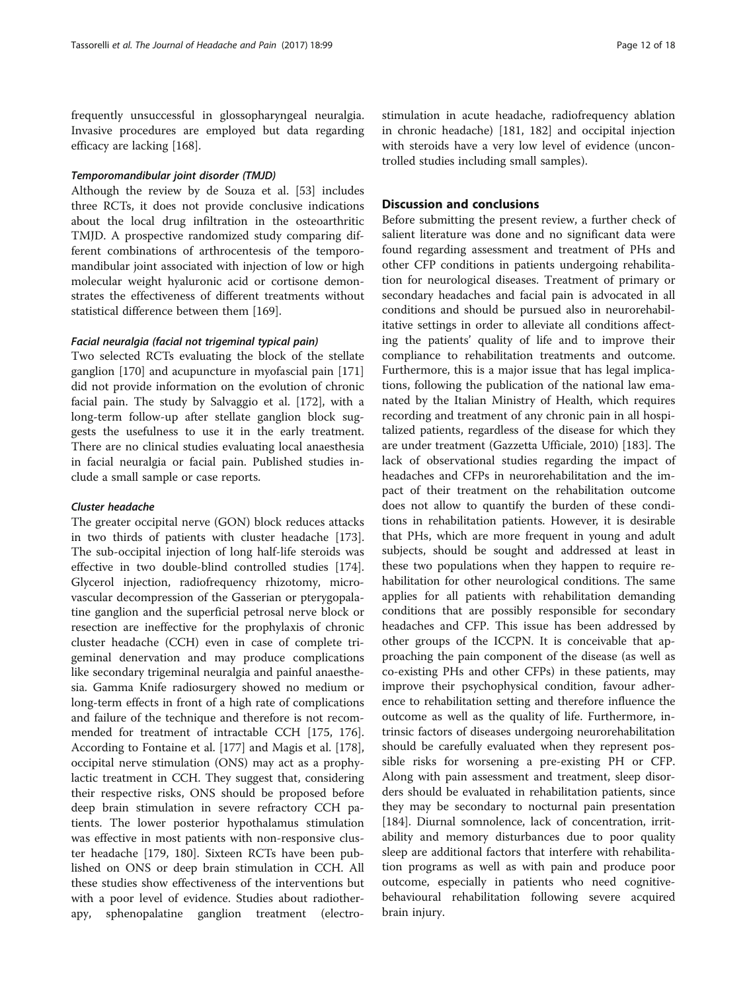frequently unsuccessful in glossopharyngeal neuralgia. Invasive procedures are employed but data regarding efficacy are lacking [\[168](#page-16-0)].

#### Temporomandibular joint disorder (TMJD)

Although the review by de Souza et al. [[53\]](#page-14-0) includes three RCTs, it does not provide conclusive indications about the local drug infiltration in the osteoarthritic TMJD. A prospective randomized study comparing different combinations of arthrocentesis of the temporomandibular joint associated with injection of low or high molecular weight hyaluronic acid or cortisone demonstrates the effectiveness of different treatments without statistical difference between them [[169](#page-17-0)].

#### Facial neuralgia (facial not trigeminal typical pain)

Two selected RCTs evaluating the block of the stellate ganglion [[170\]](#page-17-0) and acupuncture in myofascial pain [[171](#page-17-0)] did not provide information on the evolution of chronic facial pain. The study by Salvaggio et al. [\[172\]](#page-17-0), with a long-term follow-up after stellate ganglion block suggests the usefulness to use it in the early treatment. There are no clinical studies evaluating local anaesthesia in facial neuralgia or facial pain. Published studies include a small sample or case reports.

#### Cluster headache

The greater occipital nerve (GON) block reduces attacks in two thirds of patients with cluster headache [\[173](#page-17-0)]. The sub-occipital injection of long half-life steroids was effective in two double-blind controlled studies [\[174](#page-17-0)]. Glycerol injection, radiofrequency rhizotomy, microvascular decompression of the Gasserian or pterygopalatine ganglion and the superficial petrosal nerve block or resection are ineffective for the prophylaxis of chronic cluster headache (CCH) even in case of complete trigeminal denervation and may produce complications like secondary trigeminal neuralgia and painful anaesthesia. Gamma Knife radiosurgery showed no medium or long-term effects in front of a high rate of complications and failure of the technique and therefore is not recommended for treatment of intractable CCH [\[175, 176](#page-17-0)]. According to Fontaine et al. [[177\]](#page-17-0) and Magis et al. [\[178](#page-17-0)], occipital nerve stimulation (ONS) may act as a prophylactic treatment in CCH. They suggest that, considering their respective risks, ONS should be proposed before deep brain stimulation in severe refractory CCH patients. The lower posterior hypothalamus stimulation was effective in most patients with non-responsive cluster headache [[179, 180\]](#page-17-0). Sixteen RCTs have been published on ONS or deep brain stimulation in CCH. All these studies show effectiveness of the interventions but with a poor level of evidence. Studies about radiotherapy, sphenopalatine ganglion treatment (electrostimulation in acute headache, radiofrequency ablation in chronic headache) [\[181, 182](#page-17-0)] and occipital injection with steroids have a very low level of evidence (uncontrolled studies including small samples).

#### Discussion and conclusions

Before submitting the present review, a further check of salient literature was done and no significant data were found regarding assessment and treatment of PHs and other CFP conditions in patients undergoing rehabilitation for neurological diseases. Treatment of primary or secondary headaches and facial pain is advocated in all conditions and should be pursued also in neurorehabilitative settings in order to alleviate all conditions affecting the patients' quality of life and to improve their compliance to rehabilitation treatments and outcome. Furthermore, this is a major issue that has legal implications, following the publication of the national law emanated by the Italian Ministry of Health, which requires recording and treatment of any chronic pain in all hospitalized patients, regardless of the disease for which they are under treatment (Gazzetta Ufficiale, 2010) [\[183](#page-17-0)]. The lack of observational studies regarding the impact of headaches and CFPs in neurorehabilitation and the impact of their treatment on the rehabilitation outcome does not allow to quantify the burden of these conditions in rehabilitation patients. However, it is desirable that PHs, which are more frequent in young and adult subjects, should be sought and addressed at least in these two populations when they happen to require rehabilitation for other neurological conditions. The same applies for all patients with rehabilitation demanding conditions that are possibly responsible for secondary headaches and CFP. This issue has been addressed by other groups of the ICCPN. It is conceivable that approaching the pain component of the disease (as well as co-existing PHs and other CFPs) in these patients, may improve their psychophysical condition, favour adherence to rehabilitation setting and therefore influence the outcome as well as the quality of life. Furthermore, intrinsic factors of diseases undergoing neurorehabilitation should be carefully evaluated when they represent possible risks for worsening a pre-existing PH or CFP. Along with pain assessment and treatment, sleep disorders should be evaluated in rehabilitation patients, since they may be secondary to nocturnal pain presentation [[184\]](#page-17-0). Diurnal somnolence, lack of concentration, irritability and memory disturbances due to poor quality sleep are additional factors that interfere with rehabilitation programs as well as with pain and produce poor outcome, especially in patients who need cognitivebehavioural rehabilitation following severe acquired brain injury.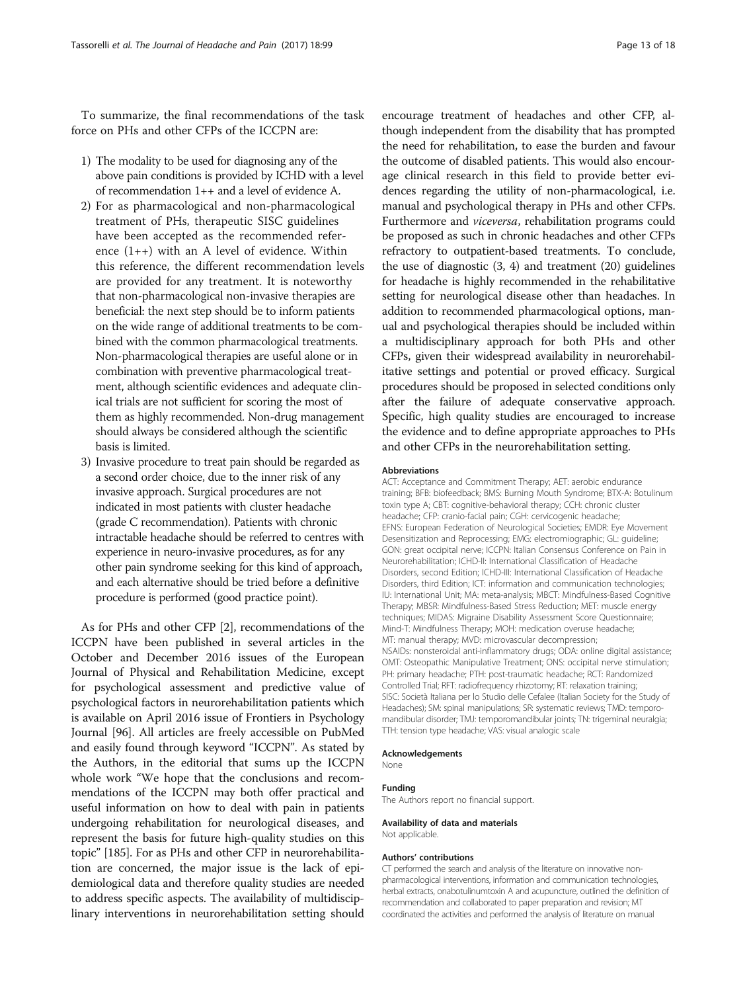To summarize, the final recommendations of the task force on PHs and other CFPs of the ICCPN are:

- 1) The modality to be used for diagnosing any of the above pain conditions is provided by ICHD with a level of recommendation 1++ and a level of evidence A.
- 2) For as pharmacological and non-pharmacological treatment of PHs, therapeutic SISC guidelines have been accepted as the recommended reference (1++) with an A level of evidence. Within this reference, the different recommendation levels are provided for any treatment. It is noteworthy that non-pharmacological non-invasive therapies are beneficial: the next step should be to inform patients on the wide range of additional treatments to be combined with the common pharmacological treatments. Non-pharmacological therapies are useful alone or in combination with preventive pharmacological treatment, although scientific evidences and adequate clinical trials are not sufficient for scoring the most of them as highly recommended. Non-drug management should always be considered although the scientific basis is limited.
- 3) Invasive procedure to treat pain should be regarded as a second order choice, due to the inner risk of any invasive approach. Surgical procedures are not indicated in most patients with cluster headache (grade C recommendation). Patients with chronic intractable headache should be referred to centres with experience in neuro-invasive procedures, as for any other pain syndrome seeking for this kind of approach, and each alternative should be tried before a definitive procedure is performed (good practice point).

As for PHs and other CFP [\[2](#page-13-0)], recommendations of the ICCPN have been published in several articles in the October and December 2016 issues of the European Journal of Physical and Rehabilitation Medicine, except for psychological assessment and predictive value of psychological factors in neurorehabilitation patients which is available on April 2016 issue of Frontiers in Psychology Journal [\[96](#page-15-0)]. All articles are freely accessible on PubMed and easily found through keyword "ICCPN". As stated by the Authors, in the editorial that sums up the ICCPN whole work "We hope that the conclusions and recommendations of the ICCPN may both offer practical and useful information on how to deal with pain in patients undergoing rehabilitation for neurological diseases, and represent the basis for future high-quality studies on this topic" [\[185](#page-17-0)]. For as PHs and other CFP in neurorehabilitation are concerned, the major issue is the lack of epidemiological data and therefore quality studies are needed to address specific aspects. The availability of multidisciplinary interventions in neurorehabilitation setting should

encourage treatment of headaches and other CFP, although independent from the disability that has prompted the need for rehabilitation, to ease the burden and favour the outcome of disabled patients. This would also encourage clinical research in this field to provide better evidences regarding the utility of non-pharmacological, i.e. manual and psychological therapy in PHs and other CFPs. Furthermore and viceversa, rehabilitation programs could be proposed as such in chronic headaches and other CFPs refractory to outpatient-based treatments. To conclude, the use of diagnostic  $(3, 4)$  and treatment  $(20)$  guidelines for headache is highly recommended in the rehabilitative setting for neurological disease other than headaches. In addition to recommended pharmacological options, manual and psychological therapies should be included within a multidisciplinary approach for both PHs and other CFPs, given their widespread availability in neurorehabilitative settings and potential or proved efficacy. Surgical procedures should be proposed in selected conditions only after the failure of adequate conservative approach. Specific, high quality studies are encouraged to increase the evidence and to define appropriate approaches to PHs and other CFPs in the neurorehabilitation setting.

#### **Abbreviations**

ACT: Acceptance and Commitment Therapy; AET: aerobic endurance training; BFB: biofeedback; BMS: Burning Mouth Syndrome; BTX-A: Botulinum toxin type A; CBT: cognitive-behavioral therapy; CCH: chronic cluster headache; CFP: cranio-facial pain; CGH: cervicogenic headache; EFNS: European Federation of Neurological Societies; EMDR: Eye Movement Desensitization and Reprocessing; EMG: electromiographic; GL: guideline; GON: great occipital nerve; ICCPN: Italian Consensus Conference on Pain in Neurorehabilitation; ICHD-II: International Classification of Headache Disorders, second Edition; ICHD-III: International Classification of Headache Disorders, third Edition; ICT: information and communication technologies; IU: International Unit; MA: meta-analysis; MBCT: Mindfulness-Based Cognitive Therapy; MBSR: Mindfulness-Based Stress Reduction; MET: muscle energy techniques; MIDAS: Migraine Disability Assessment Score Questionnaire; Mind-T: Mindfulness Therapy; MOH: medication overuse headache; MT: manual therapy; MVD: microvascular decompression; NSAIDs: nonsteroidal anti-inflammatory drugs; ODA: online digital assistance; OMT: Osteopathic Manipulative Treatment; ONS: occipital nerve stimulation; PH: primary headache; PTH: post-traumatic headache; RCT: Randomized Controlled Trial; RFT: radiofrequency rhizotomy; RT: relaxation training; SISC: Società Italiana per lo Studio delle Cefalee (Italian Society for the Study of Headaches); SM: spinal manipulations; SR: systematic reviews; TMD: temporomandibular disorder; TMJ: temporomandibular joints; TN: trigeminal neuralgia; TTH: tension type headache; VAS: visual analogic scale

#### Acknowledgements

None

#### Funding

The Authors report no financial support.

#### Availability of data and materials

Not applicable.

#### Authors' contributions

CT performed the search and analysis of the literature on innovative nonpharmacological interventions, information and communication technologies, herbal extracts, onabotulinumtoxin A and acupuncture, outlined the definition of recommendation and collaborated to paper preparation and revision; MT coordinated the activities and performed the analysis of literature on manual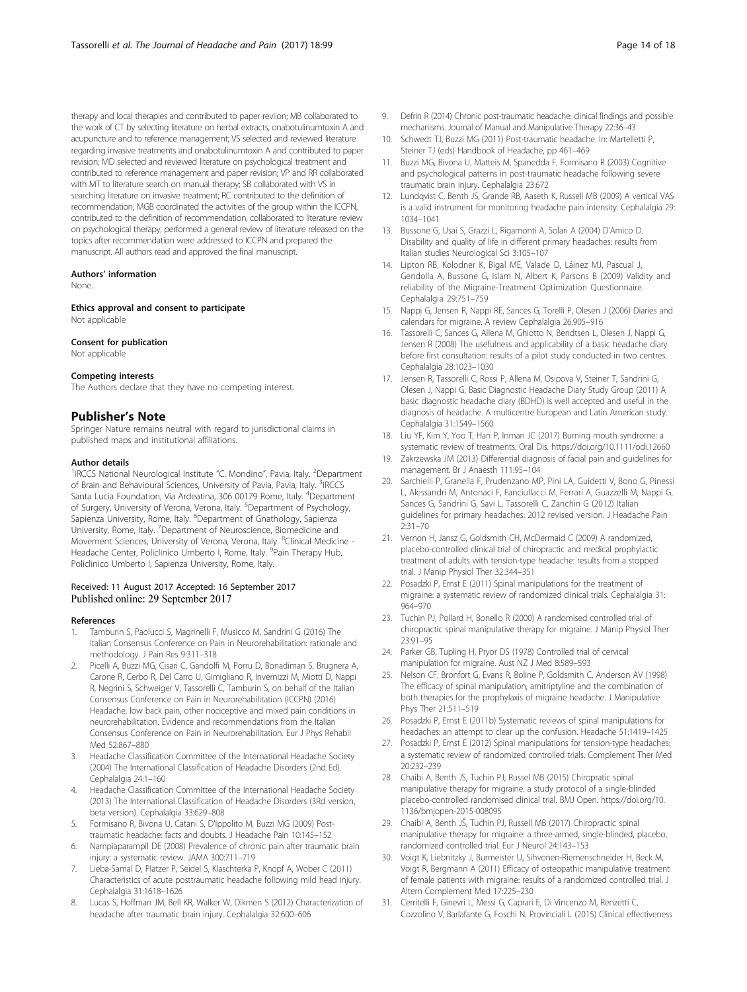<span id="page-13-0"></span>therapy and local therapies and contributed to paper reviion; MB collaborated to the work of CT by selecting literature on herbal extracts, onabotulinumtoxin A and acupuncture and to reference management; VS selected and reviewed literature regarding invasive treatments and onabotulinumtoxin A and contributed to paper revision; MD selected and reviewed literature on psychological treatment and contributed to reference management and paper revision; VP and RR collaborated with MT to literature search on manual therapy; SB collaborated with VS in searching literature on invasive treatment; RC contributed to the definition of recommendation; MGB coordinated the activities of the group within the ICCPN, contributed to the definition of recommendation, collaborated to literature review on psychological therapy, performed a general review of literature released on the topics after recommendation were addressed to ICCPN and prepared the manuscript. All authors read and approved the final manuscript.

#### Authors' information

None.

Ethics approval and consent to participate

Not applicable

#### Consent for publication

Not applicable

#### Competing interests

The Authors declare that they have no competing interest.

#### Publisher's Note

Springer Nature remains neutral with regard to jurisdictional claims in published maps and institutional affiliations.

#### Author details

<sup>1</sup>IRCCS National Neurological Institute "C. Mondino", Pavia, Italy. <sup>2</sup>Department of Brain and Behavioural Sciences, University of Pavia, Pavia, Italy. <sup>3</sup>IRCCS Santa Lucia Foundation, Via Ardeatina, 306 00179 Rome, Italy. <sup>4</sup>Department of Surgery, University of Verona, Verona, Italy. <sup>5</sup>Department of Psychology, Sapienza University, Rome, Italy. <sup>6</sup>Department of Gnathology, Sapienza University, Rome, Italy. <sup>7</sup>Department of Neuroscience, Biomedicine and Movement Sciences, University of Verona, Verona, Italy. <sup>8</sup>Clinical Medicine -Headache Center, Policlinico Umberto I, Rome, Italy. <sup>9</sup>Pain Therapy Hub, Policlinico Umberto I, Sapienza University, Rome, Italy.

#### Received: 11 August 2017 Accepted: 16 September 2017 Published online: 29 September 2017

#### References

- 1. Tamburin S, Paolucci S, Magrinelli F, Musicco M, Sandrini G (2016) The Italian Consensus Conference on Pain in Neurorehabilitation: rationale and methodology. J Pain Res 9:311–318
- 2. Picelli A, Buzzi MG, Cisari C, Gandolfi M, Porru D, Bonadiman S, Brugnera A, Carone R, Cerbo R, Del Carro U, Gimigliano R, Invernizzi M, Miotti D, Nappi R, Negrini S, Schweiger V, Tassorelli C, Tamburin S, on behalf of the Italian Consensus Conference on Pain in Neurorehabilitation (ICCPN) (2016) Headache, low back pain, other nociceptive and mixed pain conditions in neurorehabilitation. Evidence and recommendations from the Italian Consensus Conference on Pain in Neurorehabilitation. Eur J Phys Rehabil Med 52:867–880
- 3. Headache Classification Committee of the International Headache Society (2004) The International Classification of Headache Disorders (2nd Ed). Cephalalgia 24:1–160
- 4. Headache Classification Committee of the International Headache Society (2013) The International Classification of Headache Disorders (3Rd version, beta version). Cephalalgia 33:629–808
- 5. Formisano R, Bivona U, Catani S, D'Ippolito M, Buzzi MG (2009) Posttraumatic headache: facts and doubts. J Headache Pain 10:145–152
- 6. Nampiaparampil DE (2008) Prevalence of chronic pain after traumatic brain injury: a systematic review. JAMA 300:711–719
- 7. Lieba-Samal D, Platzer P, Seidel S, Klaschterka P, Knopf A, Wober C (2011) Characteristics of acute posttraumatic headache following mild head injury. Cephalalgia 31:1618–1626
- Lucas S, Hoffman JM, Bell KR, Walker W, Dikmen S (2012) Characterization of headache after traumatic brain injury. Cephalalgia 32:600–606
- 9. Defrin R (2014) Chronic post-traumatic headache: clinical findings and possible mechanisms. Journal of Manual and Manipulative Therapy 22:36–43
- 10. Schwedt TJ, Buzzi MG (2011) Post-traumatic headache. In: Martelletti P, Steiner TJ (eds) Handbook of Headache, pp 461–469
- 11. Buzzi MG, Bivona U, Matteis M, Spanedda F, Formisano R (2003) Cognitive and psychological patterns in post-traumatic headache following severe traumatic brain injury. Cephalalgia 23:672
- 12. Lundqvist C, Benth JS, Grande RB, Aaseth K, Russell MB (2009) A vertical VAS is a valid instrument for monitoring headache pain intensity. Cephalalgia 29: 1034–1041
- 13. Bussone G, Usai S, Grazzi L, Rigamonti A, Solari A (2004) D'Amico D. Disability and quality of life in different primary headaches: results from Italian studies Neurological Sci 3:105–107
- 14. Lipton RB, Kolodner K, Bigal ME, Valade D, Láinez MJ, Pascual J, Gendolla A, Bussone G, Islam N, Albert K, Parsons B (2009) Validity and reliability of the Migraine-Treatment Optimization Questionnaire. Cephalalgia 29:751–759
- 15. Nappi G, Jensen R, Nappi RE, Sances G, Torelli P, Olesen J (2006) Diaries and calendars for migraine. A review Cephalalgia 26:905–916
- 16. Tassorelli C, Sances G, Allena M, Ghiotto N, Bendtsen L, Olesen J, Nappi G, Jensen R (2008) The usefulness and applicability of a basic headache diary before first consultation: results of a pilot study conducted in two centres. Cephalalgia 28:1023–1030
- 17. Jensen R, Tassorelli C, Rossi P, Allena M, Osipova V, Steiner T, Sandrini G, Olesen J, Nappi G, Basic Diagnostic Headache Diary Study Group (2011) A basic diagnostic headache diary (BDHD) is well accepted and useful in the diagnosis of headache. A multicentre European and Latin American study. Cephalalgia 31:1549–1560
- 18. Liu YF, Kim Y, Yoo T, Han P, Inman JC (2017) Burning mouth syndrome: a systematic review of treatments. Oral Dis. [https://doi.org/10.1111/odi.12660](http://dx.doi.org/10.1111/odi.12660)
- 19. Zakrzewska JM (2013) Differential diagnosis of facial pain and guidelines for management. Br J Anaesth 111:95–104
- 20. Sarchielli P, Granella F, Prudenzano MP, Pini LA, Guidetti V, Bono G, Pinessi L, Alessandri M, Antonaci F, Fanciullacci M, Ferrari A, Guazzelli M, Nappi G, Sances G, Sandrini G, Savi L, Tassorelli C, Zanchin G (2012) Italian guidelines for primary headaches: 2012 revised version. J Headache Pain  $2.31 - 70$
- 21. Vernon H, Jansz G, Goldsmith CH, McDermaid C (2009) A randomized, placebo-controlled clinical trial of chiropractic and medical prophylactic treatment of adults with tension-type headache: results from a stopped trial. J Manip Physiol Ther 32:344–351
- 22. Posadzki P, Ernst E (2011) Spinal manipulations for the treatment of migraine: a systematic review of randomized clinical trials. Cephalalgia 31: 964–970
- 23. Tuchin PJ, Pollard H, Bonello R (2000) A randomised controlled trial of chiropractic spinal manipulative therapy for migraine. J Manip Physiol Ther 23:91–95
- 24. Parker GB, Tupling H, Pryor DS (1978) Controlled trial of cervical manipulation for migraine. Aust NZ J Med 8:589–593
- 25. Nelson CF, Bronfort G, Evans R, Boline P, Goldsmith C, Anderson AV (1998) The efficacy of spinal manipulation, amitriptyline and the combination of both therapies for the prophylaxis of migraine headache. J Manipulative Phys Ther 21:511–519
- 26. Posadzki P, Ernst E (2011b) Systematic reviews of spinal manipulations for headaches: an attempt to clear up the confusion. Headache 51:1419–1425
- 27. Posadzki P, Ernst E (2012) Spinal manipulations for tension-type headaches: a systematic review of randomized controlled trials. Complement Ther Med 20:232–239
- 28. Chaibi A, Benth JS, Tuchin PJ, Russel MB (2015) Chiropratic spinal manipulative therapy for migraine: a study protocol of a single-blinded placebo-controlled randomised clinical trial. BMJ Open. [https://doi.org/10.](http://dx.doi.org/10.1136/bmjopen-2015-008095) [1136/bmjopen-2015-008095](http://dx.doi.org/10.1136/bmjopen-2015-008095)
- 29. Chaibi A, Benth JŠ, Tuchin PJ, Russell MB (2017) Chiropractic spinal manipulative therapy for migraine: a three-armed, single-blinded, placebo, randomized controlled trial. Eur J Neurol 24:143–153
- 30. Voigt K, Liebnitzky J, Burmeister U, Sihvonen-Riemenschneider H, Beck M, Voigt R, Bergmann A (2011) Efficacy of osteopathic manipulative treatment of female patients with migraine: results of a randomized controlled trial. J Altern Complement Med 17:225–230
- 31. Cerritelli F, Ginevri L, Messi G, Caprari E, Di Vincenzo M, Renzetti C, Cozzolino V, Barlafante G, Foschi N, Provinciali L (2015) Clinical effectiveness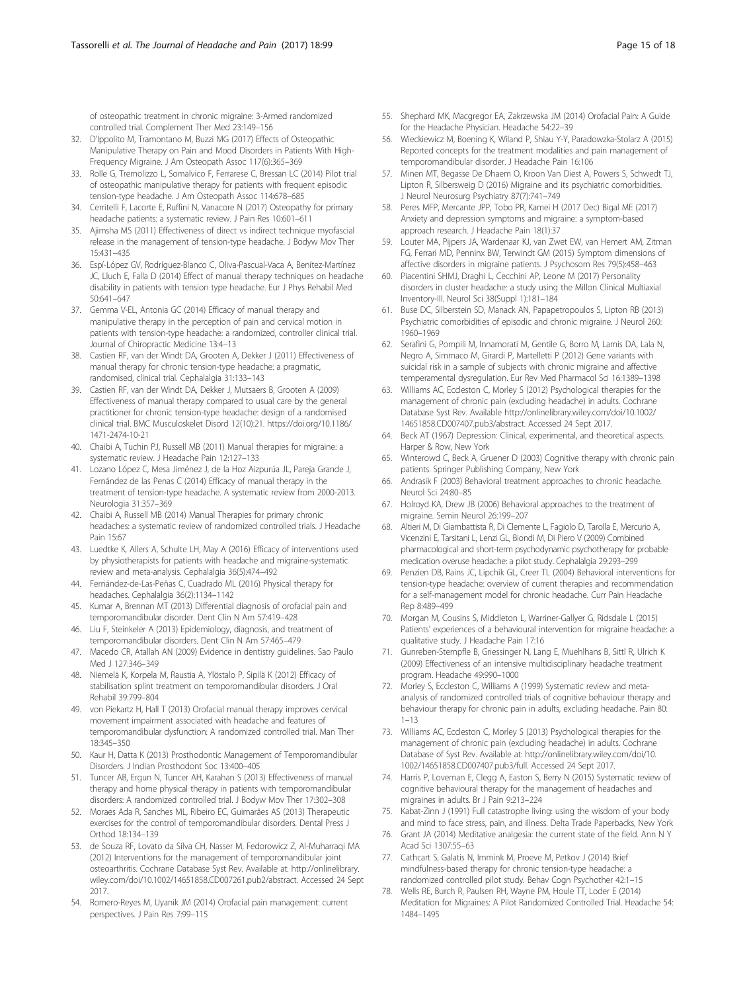<span id="page-14-0"></span>of osteopathic treatment in chronic migraine: 3-Armed randomized controlled trial. Complement Ther Med 23:149–156

- 32. D'Ippolito M, Tramontano M, Buzzi MG (2017) Effects of Osteopathic Manipulative Therapy on Pain and Mood Disorders in Patients With High-Frequency Migraine. J Am Osteopath Assoc 117(6):365–369
- 33. Rolle G, Tremolizzo L, Somalvico F, Ferrarese C, Bressan LC (2014) Pilot trial of osteopathic manipulative therapy for patients with frequent episodic tension-type headache. J Am Osteopath Assoc 114:678–685
- 34. Cerritelli F, Lacorte E, Ruffini N, Vanacore N (2017) Osteopathy for primary headache patients: a systematic review. J Pain Res 10:601–611
- 35. Ajimsha MS (2011) Effectiveness of direct vs indirect technique myofascial release in the management of tension-type headache. J Bodyw Mov Ther 15:431–435
- 36. Espí-López GV, Rodríguez-Blanco C, Oliva-Pascual-Vaca A, Benítez-Martínez JC, Lluch E, Falla D (2014) Effect of manual therapy techniques on headache disability in patients with tension type headache. Eur J Phys Rehabil Med 50:641–647
- 37. Gemma V-EL, Antonia GC (2014) Efficacy of manual therapy and manipulative therapy in the perception of pain and cervical motion in patients with tension-type headache: a randomized, controller clinical trial. Journal of Chiropractic Medicine 13:4–13
- 38. Castien RF, van der Windt DA, Grooten A, Dekker J (2011) Effectiveness of manual therapy for chronic tension-type headache: a pragmatic, randomised, clinical trial. Cephalalgia 31:133–143
- 39. Castien RF, van der Windt DA, Dekker J, Mutsaers B, Grooten A (2009) Effectiveness of manual therapy compared to usual care by the general practitioner for chronic tension-type headache: design of a randomised clinical trial. BMC Musculoskelet Disord 12(10):21. [https://doi.org/10.1186/](http://dx.doi.org/10.1186/1471-2474-10-21) [1471-2474-10-21](http://dx.doi.org/10.1186/1471-2474-10-21)
- 40. Chaibi A, Tuchin PJ, Russell MB (2011) Manual therapies for migraine: a systematic review. J Headache Pain 12:127–133
- 41. Lozano López C, Mesa Jiménez J, de la Hoz Aizpurúa JL, Pareja Grande J, Fernández de las Penas C (2014) Efficacy of manual therapy in the treatment of tension-type headache. A systematic review from 2000-2013. Neurologia 31:357–369
- 42. Chaibi A, Russell MB (2014) Manual Therapies for primary chronic headaches: a systematic review of randomized controlled trials. J Headache Pain 15:67
- 43. Luedtke K, Allers A, Schulte LH, May A (2016) Efficacy of interventions used by physiotherapists for patients with headache and migraine-systematic review and meta-analysis. Cephalalgia 36(5):474–492
- 44. Fernández-de-Las-Peñas C, Cuadrado ML (2016) Physical therapy for headaches. Cephalalgia 36(2):1134–1142
- 45. Kumar A, Brennan MT (2013) Differential diagnosis of orofacial pain and temporomandibular disorder. Dent Clin N Am 57:419–428
- 46. Liu F, Steinkeler A (2013) Epidemiology, diagnosis, and treatment of temporomandibular disorders. Dent Clin N Am 57:465–479
- 47. Macedo CR, Atallah AN (2009) Evidence in dentistry guidelines. Sao Paulo Med J 127:346–349
- 48. Niemelä K, Korpela M, Raustia A, Ylöstalo P, Sipilä K (2012) Efficacy of stabilisation splint treatment on temporomandibular disorders. J Oral Rehabil 39:799–804
- 49. von Piekartz H, Hall T (2013) Orofacial manual therapy improves cervical movement impairment associated with headache and features of temporomandibular dysfunction: A randomized controlled trial. Man Ther 18:345–350
- 50. Kaur H, Datta K (2013) Prosthodontic Management of Temporomandibular Disorders. J Indian Prosthodont Soc 13:400–405
- 51. Tuncer AB, Ergun N, Tuncer AH, Karahan S (2013) Effectiveness of manual therapy and home physical therapy in patients with temporomandibular disorders: A randomized controlled trial. J Bodyw Mov Ther 17:302–308
- 52. Moraes Ada R, Sanches ML, Ribeiro EC, Guimarães AS (2013) Therapeutic exercises for the control of temporomandibular disorders. Dental Press J Orthod 18:134–139
- 53. de Souza RF, Lovato da Silva CH, Nasser M, Fedorowicz Z, Al-Muharraqi MA (2012) Interventions for the management of temporomandibular joint osteoarthritis. Cochrane Database Syst Rev. Available at: [http://onlinelibrary.](http://onlinelibrary.wiley.com/doi/10.1002/14651858.CD007261.pub2/abstract) [wiley.com/doi/10.1002/14651858.CD007261.pub2/abstract.](http://onlinelibrary.wiley.com/doi/10.1002/14651858.CD007261.pub2/abstract) Accessed 24 Sept 2017.
- 54. Romero-Reyes M, Uyanik JM (2014) Orofacial pain management: current perspectives. J Pain Res 7:99–115
- 55. Shephard MK, Macgregor EA, Zakrzewska JM (2014) Orofacial Pain: A Guide for the Headache Physician. Headache 54:22–39
- 56. Wieckiewicz M, Boening K, Wiland P, Shiau Y-Y, Paradowzka-Stolarz A (2015) Reported concepts for the treatment modalities and pain management of temporomandibular disorder. J Headache Pain 16:106
- 57. Minen MT, Begasse De Dhaem O, Kroon Van Diest A, Powers S, Schwedt TJ, Lipton R, Silbersweig D (2016) Migraine and its psychiatric comorbidities. J Neurol Neurosurg Psychiatry 87(7):741–749
- 58. Peres MFP, Mercante JPP, Tobo PR, Kamei H (2017 Dec) Bigal ME (2017) Anxiety and depression symptoms and migraine: a symptom-based approach research. J Headache Pain 18(1):37
- 59. Louter MA, Pijpers JA, Wardenaar KJ, van Zwet EW, van Hemert AM, Zitman FG, Ferrari MD, Penninx BW, Terwindt GM (2015) Symptom dimensions of affective disorders in migraine patients. J Psychosom Res 79(5):458–463
- 60. Piacentini SHMJ, Draghi L, Cecchini AP, Leone M (2017) Personality disorders in cluster headache: a study using the Millon Clinical Multiaxial Inventory-III. Neurol Sci 38(Suppl 1):181–184
- 61. Buse DC, Silberstein SD, Manack AN, Papapetropoulos S, Lipton RB (2013) Psychiatric comorbidities of episodic and chronic migraine. J Neurol 260: 1960–1969
- 62. Serafini G, Pompili M, Innamorati M, Gentile G, Borro M, Lamis DA, Lala N, Negro A, Simmaco M, Girardi P, Martelletti P (2012) Gene variants with suicidal risk in a sample of subjects with chronic migraine and affective temperamental dysregulation. Eur Rev Med Pharmacol Sci 16:1389–1398
- Williams AC, Eccleston C, Morley S (2012) Psychological therapies for the management of chronic pain (excluding headache) in adults. Cochrane Database Syst Rev. Available [http://onlinelibrary.wiley.com/doi/10.1002/](http://onlinelibrary.wiley.com/doi/10.1002/14651858.CD007407.pub3/abstract) [14651858.CD007407.pub3/abstract](http://onlinelibrary.wiley.com/doi/10.1002/14651858.CD007407.pub3/abstract). Accessed 24 Sept 2017.
- 64. Beck AT (1967) Depression: Clinical, experimental, and theoretical aspects. Harper & Row, New York
- 65. Winterowd C, Beck A, Gruener D (2003) Cognitive therapy with chronic pain patients. Springer Publishing Company, New York
- 66. Andrasik F (2003) Behavioral treatment approaches to chronic headache. Neurol Sci 24:80–85
- 67. Holroyd KA, Drew JB (2006) Behavioral approaches to the treatment of migraine. Semin Neurol 26:199–207
- 68. Altieri M, Di Giambattista R, Di Clemente L, Fagiolo D, Tarolla E, Mercurio A, Vicenzini E, Tarsitani L, Lenzi GL, Biondi M, Di Piero V (2009) Combined pharmacological and short-term psychodynamic psychotherapy for probable medication overuse headache: a pilot study. Cephalalgia 29:293–299
- 69. Penzien DB, Rains JC, Lipchik GL, Creer TL (2004) Behavioral interventions for tension-type headache: overview of current therapies and recommendation for a self-management model for chronic headache. Curr Pain Headache Rep 8:489–499
- 70. Morgan M, Cousins S, Middleton L, Warriner-Gallyer G, Ridsdale L (2015) Patients' experiences of a behavioural intervention for migraine headache: a qualitative study. J Headache Pain 17:16
- 71. Gunreben-Stempfle B, Griessinger N, Lang E, Muehlhans B, Sittl R, Ulrich K (2009) Effectiveness of an intensive multidisciplinary headache treatment program. Headache 49:990–1000
- 72. Morley S, Eccleston C, Williams A (1999) Systematic review and metaanalysis of randomized controlled trials of cognitive behaviour therapy and behaviour therapy for chronic pain in adults, excluding headache. Pain 80: 1–13
- 73. Williams AC, Eccleston C, Morley S (2013) Psychological therapies for the management of chronic pain (excluding headache) in adults. Cochrane Database of Syst Rev. Available at: [http://onlinelibrary.wiley.com/doi/10.](http://onlinelibrary.wiley.com/doi/10.1002/14651858.CD007407.pub3/full) [1002/14651858.CD007407.pub3/full](http://onlinelibrary.wiley.com/doi/10.1002/14651858.CD007407.pub3/full). Accessed 24 Sept 2017.
- 74. Harris P, Loveman E, Clegg A, Easton S, Berry N (2015) Systematic review of cognitive behavioural therapy for the management of headaches and migraines in adults. Br J Pain 9:213–224
- 75. Kabat-Zinn J (1991) Full catastrophe living: using the wisdom of your body and mind to face stress, pain, and illness. Delta Trade Paperbacks, New York
- 76. Grant JA (2014) Meditative analgesia: the current state of the field. Ann N Y Acad Sci 1307:55–63
- 77. Cathcart S, Galatis N, Immink M, Proeve M, Petkov J (2014) Brief mindfulness-based therapy for chronic tension-type headache: a randomized controlled pilot study. Behav Cogn Psychother 42:1–15
- 78. Wells RE, Burch R, Paulsen RH, Wayne PM, Houle TT, Loder E (2014) Meditation for Migraines: A Pilot Randomized Controlled Trial. Headache 54: 1484–1495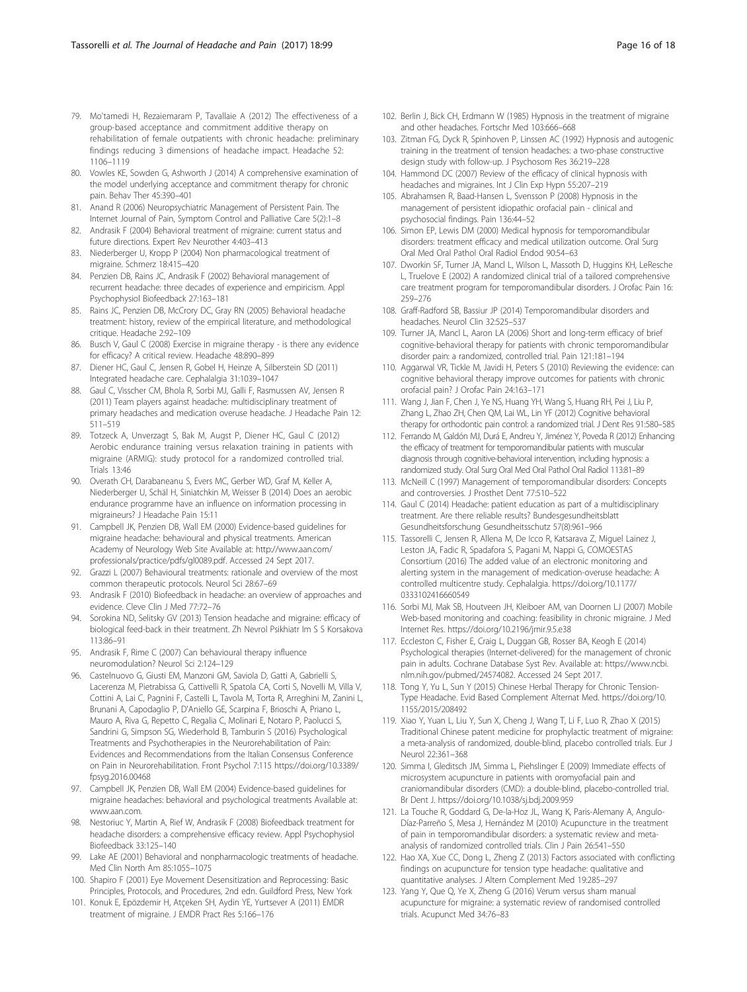- <span id="page-15-0"></span>79. Mo'tamedi H, Rezaiemaram P, Tavallaie A (2012) The effectiveness of a group-based acceptance and commitment additive therapy on rehabilitation of female outpatients with chronic headache: preliminary findings reducing 3 dimensions of headache impact. Headache 52: 1106–1119
- 80. Vowles KE, Sowden G, Ashworth J (2014) A comprehensive examination of the model underlying acceptance and commitment therapy for chronic pain. Behav Ther 45:390–401
- 81. Anand R (2006) Neuropsychiatric Management of Persistent Pain. The Internet Journal of Pain, Symptom Control and Palliative Care 5(2):1–8
- 82. Andrasik F (2004) Behavioral treatment of migraine: current status and future directions. Expert Rev Neurother 4:403–413
- 83. Niederberger U, Kropp P (2004) Non pharmacological treatment of migraine. Schmerz 18:415–420
- 84. Penzien DB, Rains JC, Andrasik F (2002) Behavioral management of recurrent headache: three decades of experience and empiricism. Appl Psychophysiol Biofeedback 27:163–181
- 85. Rains JC, Penzien DB, McCrory DC, Gray RN (2005) Behavioral headache treatment: history, review of the empirical literature, and methodological critique. Headache 2:92–109
- 86. Busch V, Gaul C (2008) Exercise in migraine therapy is there any evidence for efficacy? A critical review. Headache 48:890–899
- 87. Diener HC, Gaul C, Jensen R, Gobel H, Heinze A, Silberstein SD (2011) Integrated headache care. Cephalalgia 31:1039–1047
- 88. Gaul C, Visscher CM, Bhola R, Sorbi MJ, Galli F, Rasmussen AV, Jensen R (2011) Team players against headache: multidisciplinary treatment of primary headaches and medication overuse headache. J Headache Pain 12: 511–519
- 89. Totzeck A, Unverzagt S, Bak M, Augst P, Diener HC, Gaul C (2012) Aerobic endurance training versus relaxation training in patients with migraine (ARMIG): study protocol for a randomized controlled trial. Trials 13:46
- 90. Overath CH, Darabaneanu S, Evers MC, Gerber WD, Graf M, Keller A, Niederberger U, Schäl H, Siniatchkin M, Weisser B (2014) Does an aerobic endurance programme have an influence on information processing in migraineurs? J Headache Pain 15:11
- 91. Campbell JK, Penzien DB, Wall EM (2000) Evidence-based guidelines for migraine headache: behavioural and physical treatments. American Academy of Neurology Web Site Available at: [http://www.aan.com/](http://www.aan.com/professionals/practice/pdfs/gl0089.pdf) [professionals/practice/pdfs/gl0089.pdf.](http://www.aan.com/professionals/practice/pdfs/gl0089.pdf) Accessed 24 Sept 2017.
- 92. Grazzi L (2007) Behavioural treatments: rationale and overview of the most common therapeutic protocols. Neurol Sci 28:67–69
- 93. Andrasik F (2010) Biofeedback in headache: an overview of approaches and evidence. Cleve Clin J Med 77:72–76
- 94. Sorokina ND, Selitsky GV (2013) Tension headache and migraine: efficacy of biological feed-back in their treatment. Zh Nevrol Psikhiatr Im S S Korsakova 113:86–91
- 95. Andrasik F, Rime C (2007) Can behavioural therapy influence neuromodulation? Neurol Sci 2:124–129
- 96. Castelnuovo G, Giusti EM, Manzoni GM, Saviola D, Gatti A, Gabrielli S, Lacerenza M, Pietrabissa G, Cattivelli R, Spatola CA, Corti S, Novelli M, Villa V, Cottini A, Lai C, Pagnini F, Castelli L, Tavola M, Torta R, Arreghini M, Zanini L, Brunani A, Capodaglio P, D'Aniello GE, Scarpina F, Brioschi A, Priano L, Mauro A, Riva G, Repetto C, Regalia C, Molinari E, Notaro P, Paolucci S, Sandrini G, Simpson SG, Wiederhold B, Tamburin S (2016) Psychological Treatments and Psychotherapies in the Neurorehabilitation of Pain: Evidences and Recommendations from the Italian Consensus Conference on Pain in Neurorehabilitation. Front Psychol 7:115 [https://doi.org/10.3389/](http://dx.doi.org/10.3389/fpsyg.2016.00468) [fpsyg.2016.00468](http://dx.doi.org/10.3389/fpsyg.2016.00468)
- 97. Campbell JK, Penzien DB, Wall EM (2004) Evidence-based guidelines for migraine headaches: behavioral and psychological treatments Available at: [www.aan.com](http://www.aan.com).
- 98. Nestoriuc Y, Martin A, Rief W, Andrasik F (2008) Biofeedback treatment for headache disorders: a comprehensive efficacy review. Appl Psychophysiol Biofeedback 33:125–140
- 99. Lake AE (2001) Behavioral and nonpharmacologic treatments of headache. Med Clin North Am 85:1055–1075
- 100. Shapiro F (2001) Eye Movement Desensitization and Reprocessing: Basic Principles, Protocols, and Procedures, 2nd edn. Guildford Press, New York
- 101. Konuk E, Epözdemir H, Atçeken SH, Aydin YE, Yurtsever A (2011) EMDR treatment of migraine. J EMDR Pract Res 5:166–176
- 102. Berlin J, Bick CH, Erdmann W (1985) Hypnosis in the treatment of migraine and other headaches. Fortschr Med 103:666–668
- 103. Zitman FG, Dyck R, Spinhoven P, Linssen AC (1992) Hypnosis and autogenic training in the treatment of tension headaches: a two-phase constructive design study with follow-up. J Psychosom Res 36:219–228
- 104. Hammond DC (2007) Review of the efficacy of clinical hypnosis with headaches and migraines. Int J Clin Exp Hypn 55:207–219
- 105. Abrahamsen R, Baad-Hansen L, Svensson P (2008) Hypnosis in the management of persistent idiopathic orofacial pain - clinical and psychosocial findings. Pain 136:44–52
- 106. Simon EP, Lewis DM (2000) Medical hypnosis for temporomandibular disorders: treatment efficacy and medical utilization outcome. Oral Surg Oral Med Oral Pathol Oral Radiol Endod 90:54–63
- 107. Dworkin SF, Turner JA, Mancl L, Wilson L, Massoth D, Huggins KH, LeResche L, Truelove E (2002) A randomized clinical trial of a tailored comprehensive care treatment program for temporomandibular disorders. J Orofac Pain 16: 259–276
- 108. Graff-Radford SB, Bassiur JP (2014) Temporomandibular disorders and headaches. Neurol Clin 32:525–537
- 109. Turner JA, Mancl L, Aaron LA (2006) Short and long-term efficacy of brief cognitive-behavioral therapy for patients with chronic temporomandibular disorder pain: a randomized, controlled trial. Pain 121:181–194
- 110. Aggarwal VR, Tickle M, Javidi H, Peters S (2010) Reviewing the evidence: can cognitive behavioral therapy improve outcomes for patients with chronic orofacial pain? J Orofac Pain 24:163–171
- 111. Wang J, Jian F, Chen J, Ye NS, Huang YH, Wang S, Huang RH, Pei J, Liu P, Zhang L, Zhao ZH, Chen QM, Lai WL, Lin YF (2012) Cognitive behavioral therapy for orthodontic pain control: a randomized trial. J Dent Res 91:580–585
- 112. Ferrando M, Galdón MJ, Durá E, Andreu Y, Jiménez Y, Poveda R (2012) Enhancing the efficacy of treatment for temporomandibular patients with muscular diagnosis through cognitive-behavioral intervention, including hypnosis: a randomized study. Oral Surg Oral Med Oral Pathol Oral Radiol 113:81–89
- 113. McNeill C (1997) Management of temporomandibular disorders: Concepts and controversies. J Prosthet Dent 77:510–522
- 114. Gaul C (2014) Headache: patient education as part of a multidisciplinary treatment. Are there reliable results? Bundesgesundheitsblatt Gesundheitsforschung Gesundheitsschutz 57(8):961–966
- 115. Tassorelli C, Jensen R, Allena M, De Icco R, Katsarava Z, Miguel Lainez J, Leston JA, Fadic R, Spadafora S, Pagani M, Nappi G, COMOESTAS Consortium (2016) The added value of an electronic monitoring and alerting system in the management of medication-overuse headache: A controlled multicentre study. Cephalalgia. [https://doi.org/10.1177/](http://dx.doi.org/10.1177/0333102416660549) [0333102416660549](http://dx.doi.org/10.1177/0333102416660549)
- 116. Sorbi MJ, Mak SB, Houtveen JH, Kleiboer AM, van Doornen LJ (2007) Mobile Web-based monitoring and coaching: feasibility in chronic migraine. J Med Internet Res. [https://doi.org/10.2196/jmir.9.5.e38](http://dx.doi.org/10.2196/jmir.9.5.e38)
- 117. Eccleston C, Fisher E, Craig L, Duggan GB, Rosser BA, Keogh E (2014) Psychological therapies (Internet-delivered) for the management of chronic pain in adults. Cochrane Database Syst Rev. Available at: [https://www.ncbi.](https://www.ncbi.nlm.nih.gov/pubmed/24574082) [nlm.nih.gov/pubmed/24574082.](https://www.ncbi.nlm.nih.gov/pubmed/24574082) Accessed 24 Sept 2017.
- 118. Tong Y, Yu L, Sun Y (2015) Chinese Herbal Therapy for Chronic Tension-Type Headache. Evid Based Complement Alternat Med. [https://doi.org/10.](http://dx.doi.org/10.1155/2015/208492) [1155/2015/208492](http://dx.doi.org/10.1155/2015/208492)
- 119. Xiao Y, Yuan L, Liu Y, Sun X, Cheng J, Wang T, Li F, Luo R, Zhao X (2015) Traditional Chinese patent medicine for prophylactic treatment of migraine: a meta-analysis of randomized, double-blind, placebo controlled trials. Eur J Neurol 22:361–368
- 120. Simma I, Gleditsch JM, Simma L, Piehslinger E (2009) Immediate effects of microsystem acupuncture in patients with oromyofacial pain and craniomandibular disorders (CMD): a double-blind, placebo-controlled trial. Br Dent J. [https://doi.org/10.1038/sj.bdj.2009.959](http://dx.doi.org/10.1038/sj.bdj.2009.959)
- 121. La Touche R, Goddard G, De-la-Hoz JL, Wang K, Paris-Alemany A, Angulo-Díaz-Parreño S, Mesa J, Hernández M (2010) Acupuncture in the treatment of pain in temporomandibular disorders: a systematic review and metaanalysis of randomized controlled trials. Clin J Pain 26:541–550
- 122. Hao XA, Xue CC, Dong L, Zheng Z (2013) Factors associated with conflicting findings on acupuncture for tension type headache: qualitative and quantitative analyses. J Altern Complement Med 19:285–297
- 123. Yang Y, Que Q, Ye X, Zheng G (2016) Verum versus sham manual acupuncture for migraine: a systematic review of randomised controlled trials. Acupunct Med 34:76–83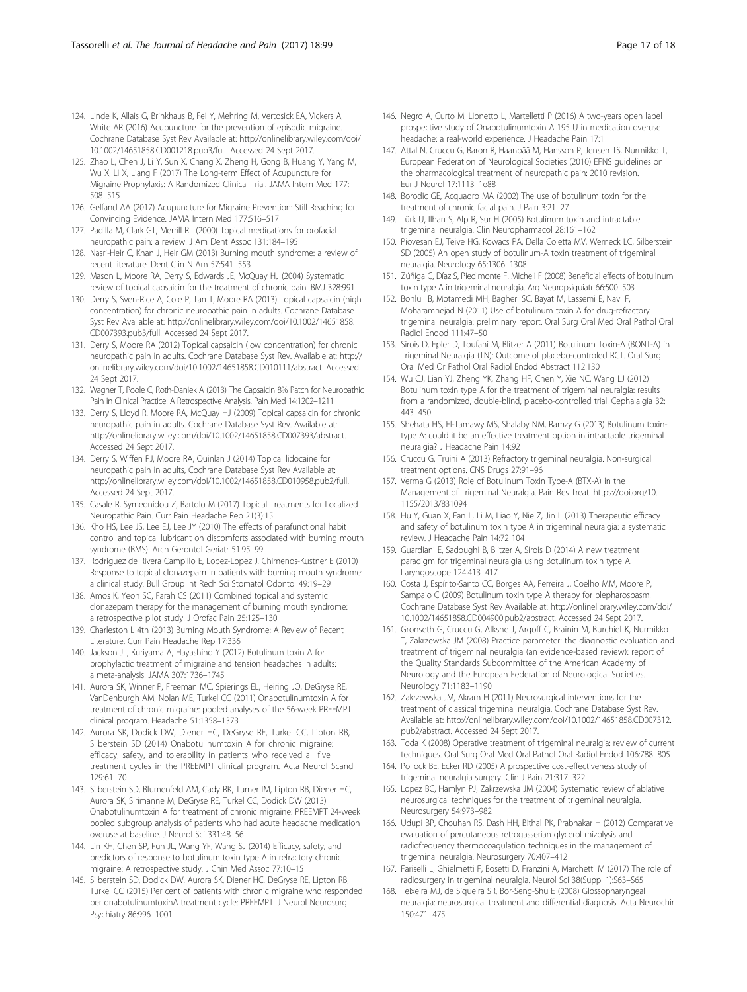- <span id="page-16-0"></span>124. Linde K, Allais G, Brinkhaus B, Fei Y, Mehring M, Vertosick EA, Vickers A, White AR (2016) Acupuncture for the prevention of episodic migraine. Cochrane Database Syst Rev Available at: [http://onlinelibrary.wiley.com/doi/](http://onlinelibrary.wiley.com/doi/10.1002/14651858.CD001218.pub3/full) [10.1002/14651858.CD001218.pub3/full](http://onlinelibrary.wiley.com/doi/10.1002/14651858.CD001218.pub3/full). Accessed 24 Sept 2017.
- 125. Zhao L, Chen J, Li Y, Sun X, Chang X, Zheng H, Gong B, Huang Y, Yang M, Wu X, Li X, Liang F (2017) The Long-term Effect of Acupuncture for Migraine Prophylaxis: A Randomized Clinical Trial. JAMA Intern Med 177: 508–515
- 126. Gelfand AA (2017) Acupuncture for Migraine Prevention: Still Reaching for Convincing Evidence. JAMA Intern Med 177:516–517
- 127. Padilla M, Clark GT, Merrill RL (2000) Topical medications for orofacial neuropathic pain: a review. J Am Dent Assoc 131:184–195
- 128. Nasri-Heir C, Khan J, Heir GM (2013) Burning mouth syndrome: a review of recent literature. Dent Clin N Am 57:541–553
- 129. Mason L, Moore RA, Derry S, Edwards JE, McQuay HJ (2004) Systematic review of topical capsaicin for the treatment of chronic pain. BMJ 328:991
- 130. Derry S, Sven-Rice A, Cole P, Tan T, Moore RA (2013) Topical capsaicin (high concentration) for chronic neuropathic pain in adults. Cochrane Database Syst Rev Available at: [http://onlinelibrary.wiley.com/doi/10.1002/14651858.](http://onlinelibrary.wiley.com/doi/10.1002/14651858.CD007393.pub3/full) [CD007393.pub3/full.](http://onlinelibrary.wiley.com/doi/10.1002/14651858.CD007393.pub3/full) Accessed 24 Sept 2017.
- 131. Derry S, Moore RA (2012) Topical capsaicin (low concentration) for chronic neuropathic pain in adults. Cochrane Database Syst Rev. Available at: [http://](http://onlinelibrary.wiley.com/doi/10.1002/14651858.CD010111/abstract) [onlinelibrary.wiley.com/doi/10.1002/14651858.CD010111/abstract.](http://onlinelibrary.wiley.com/doi/10.1002/14651858.CD010111/abstract) Accessed 24 Sept 2017.
- 132. Wagner T, Poole C, Roth-Daniek A (2013) The Capsaicin 8% Patch for Neuropathic Pain in Clinical Practice: A Retrospective Analysis. Pain Med 14:1202–1211
- 133. Derry S, Lloyd R, Moore RA, McQuay HJ (2009) Topical capsaicin for chronic neuropathic pain in adults. Cochrane Database Syst Rev. Available at: [http://onlinelibrary.wiley.com/doi/10.1002/14651858.CD007393/abstract.](http://onlinelibrary.wiley.com/doi/10.1002/14651858.CD007393/abstract) Accessed 24 Sept 2017.
- 134. Derry S, Wiffen PJ, Moore RA, Quinlan J (2014) Topical lidocaine for neuropathic pain in adults, Cochrane Database Syst Rev Available at: <http://onlinelibrary.wiley.com/doi/10.1002/14651858.CD010958.pub2/full>. Accessed 24 Sept 2017.
- 135. Casale R, Symeonidou Z, Bartolo M (2017) Topical Treatments for Localized Neuropathic Pain. Curr Pain Headache Rep 21(3):15
- 136. Kho HS, Lee JS, Lee EJ, Lee JY (2010) The effects of parafunctional habit control and topical lubricant on discomforts associated with burning mouth syndrome (BMS). Arch Gerontol Geriatr 51:95–99
- 137. Rodriguez de Rivera Campillo E, Lopez-Lopez J, Chimenos-Kustner E (2010) Response to topical clonazepam in patients with burning mouth syndrome: a clinical study. Bull Group Int Rech Sci Stomatol Odontol 49:19–29
- 138. Amos K, Yeoh SC, Farah CS (2011) Combined topical and systemic clonazepam therapy for the management of burning mouth syndrome: a retrospective pilot study. J Orofac Pain 25:125–130
- 139. Charleston L 4th (2013) Burning Mouth Syndrome: A Review of Recent Literature. Curr Pain Headache Rep 17:336
- 140. Jackson JL, Kuriyama A, Hayashino Y (2012) Botulinum toxin A for prophylactic treatment of migraine and tension headaches in adults: a meta-analysis. JAMA 307:1736–1745
- 141. Aurora SK, Winner P, Freeman MC, Spierings EL, Heiring JO, DeGryse RE, VanDenburgh AM, Nolan ME, Turkel CC (2011) Onabotulinumtoxin A for treatment of chronic migraine: pooled analyses of the 56-week PREEMPT clinical program. Headache 51:1358–1373
- 142. Aurora SK, Dodick DW, Diener HC, DeGryse RE, Turkel CC, Lipton RB, Silberstein SD (2014) Onabotulinumtoxin A for chronic migraine: efficacy, safety, and tolerability in patients who received all five treatment cycles in the PREEMPT clinical program. Acta Neurol Scand 129:61–70
- 143. Silberstein SD, Blumenfeld AM, Cady RK, Turner IM, Lipton RB, Diener HC, Aurora SK, Sirimanne M, DeGryse RE, Turkel CC, Dodick DW (2013) Onabotulinumtoxin A for treatment of chronic migraine: PREEMPT 24-week pooled subgroup analysis of patients who had acute headache medication overuse at baseline. J Neurol Sci 331:48–56
- 144. Lin KH, Chen SP, Fuh JL, Wang YF, Wang SJ (2014) Efficacy, safety, and predictors of response to botulinum toxin type A in refractory chronic migraine: A retrospective study. J Chin Med Assoc 77:10–15
- 145. Silberstein SD, Dodick DW, Aurora SK, Diener HC, DeGryse RE, Lipton RB, Turkel CC (2015) Per cent of patients with chronic migraine who responded per onabotulinumtoxinA treatment cycle: PREEMPT. J Neurol Neurosurg Psychiatry 86:996–1001
- 146. Negro A, Curto M, Lionetto L, Martelletti P (2016) A two-years open label prospective study of Onabotulinumtoxin A 195 U in medication overuse headache: a real-world experience. J Headache Pain 17:1
- 147. Attal N, Cruccu G, Baron R, Haanpää M, Hansson P, Jensen TS, Nurmikko T, European Federation of Neurological Societies (2010) EFNS guidelines on the pharmacological treatment of neuropathic pain: 2010 revision. Eur J Neurol 17:1113–1e88
- 148. Borodic GE, Acquadro MA (2002) The use of botulinum toxin for the treatment of chronic facial pain. J Pain 3:21–27
- 149. Türk U, Ilhan S, Alp R, Sur H (2005) Botulinum toxin and intractable trigeminal neuralgia. Clin Neuropharmacol 28:161–162
- 150. Piovesan EJ, Teive HG, Kowacs PA, Della Coletta MV, Werneck LC, Silberstein SD (2005) An open study of botulinum-A toxin treatment of trigeminal neuralgia. Neurology 65:1306–1308
- 151. Zúñiga C, Díaz S, Piedimonte F, Micheli F (2008) Beneficial effects of botulinum toxin type A in trigeminal neuralgia. Arq Neuropsiquiatr 66:500–503
- 152. Bohluli B, Motamedi MH, Bagheri SC, Bayat M, Lassemi E, Navi F, Moharamnejad N (2011) Use of botulinum toxin A for drug-refractory trigeminal neuralgia: preliminary report. Oral Surg Oral Med Oral Pathol Oral Radiol Endod 111:47–50
- 153. Sirois D, Epler D, Toufani M, Blitzer A (2011) Botulinum Toxin-A (BONT-A) in Trigeminal Neuralgia (TN): Outcome of placebo-controled RCT. Oral Surg Oral Med Or Pathol Oral Radiol Endod Abstract 112:130
- 154. Wu CJ, Lian YJ, Zheng YK, Zhang HF, Chen Y, Xie NC, Wang LJ (2012) Botulinum toxin type A for the treatment of trigeminal neuralgia: results from a randomized, double-blind, placebo-controlled trial. Cephalalgia 32: 443–450
- 155. Shehata HS, El-Tamawy MS, Shalaby NM, Ramzy G (2013) Botulinum toxintype A: could it be an effective treatment option in intractable trigeminal neuralgia? J Headache Pain 14:92
- 156. Cruccu G, Truini A (2013) Refractory trigeminal neuralgia. Non-surgical treatment options. CNS Drugs 27:91–96
- 157. Verma G (2013) Role of Botulinum Toxin Type-A (BTX-A) in the Management of Trigeminal Neuralgia. Pain Res Treat. [https://doi.org/10.](http://dx.doi.org/10.1155/2013/831094) [1155/2013/831094](http://dx.doi.org/10.1155/2013/831094)
- 158. Hu Y, Guan X, Fan L, Li M, Liao Y, Nie Z, Jin L (2013) Therapeutic efficacy and safety of botulinum toxin type A in trigeminal neuralgia: a systematic review. J Headache Pain 14:72 104
- 159. Guardiani E, Sadoughi B, Blitzer A, Sirois D (2014) A new treatment paradigm for trigeminal neuralgia using Botulinum toxin type A. Laryngoscope 124:413–417
- 160. Costa J, Espírito-Santo CC, Borges AA, Ferreira J, Coelho MM, Moore P, Sampaio C (2009) Botulinum toxin type A therapy for blepharospasm. Cochrane Database Syst Rev Available at: [http://onlinelibrary.wiley.com/doi/](http://onlinelibrary.wiley.com/doi/10.1002/14651858.CD004900.pub2/abstract) [10.1002/14651858.CD004900.pub2/abstract](http://onlinelibrary.wiley.com/doi/10.1002/14651858.CD004900.pub2/abstract). Accessed 24 Sept 2017.
- 161. Gronseth G, Cruccu G, Alksne J, Argoff C, Brainin M, Burchiel K, Nurmikko T, Zakrzewska JM (2008) Practice parameter: the diagnostic evaluation and treatment of trigeminal neuralgia (an evidence-based review): report of the Quality Standards Subcommittee of the American Academy of Neurology and the European Federation of Neurological Societies. Neurology 71:1183–1190
- 162. Zakrzewska JM, Akram H (2011) Neurosurgical interventions for the treatment of classical trigeminal neuralgia. Cochrane Database Syst Rev. Available at: [http://onlinelibrary.wiley.com/doi/10.1002/14651858.CD007312.](http://onlinelibrary.wiley.com/doi/10.1002/14651858.CD007312.pub2/abstract) [pub2/abstract](http://onlinelibrary.wiley.com/doi/10.1002/14651858.CD007312.pub2/abstract). Accessed 24 Sept 2017.
- 163. Toda K (2008) Operative treatment of trigeminal neuralgia: review of current techniques. Oral Surg Oral Med Oral Pathol Oral Radiol Endod 106:788–805
- 164. Pollock BE, Ecker RD (2005) A prospective cost-effectiveness study of trigeminal neuralgia surgery. Clin J Pain 21:317–322
- 165. Lopez BC, Hamlyn PJ, Zakrzewska JM (2004) Systematic review of ablative neurosurgical techniques for the treatment of trigeminal neuralgia. Neurosurgery 54:973–982
- 166. Udupi BP, Chouhan RS, Dash HH, Bithal PK, Prabhakar H (2012) Comparative evaluation of percutaneous retrogasserian glycerol rhizolysis and radiofrequency thermocoagulation techniques in the management of trigeminal neuralgia. Neurosurgery 70:407–412
- 167. Fariselli L, Ghielmetti F, Bosetti D, Franzini A, Marchetti M (2017) The role of radiosurgery in trigeminal neuralgia. Neurol Sci 38(Suppl 1):S63–S65
- 168. Teixeira MJ, de Siqueira SR, Bor-Seng-Shu E (2008) Glossopharyngeal neuralgia: neurosurgical treatment and differential diagnosis. Acta Neurochir 150:471–475